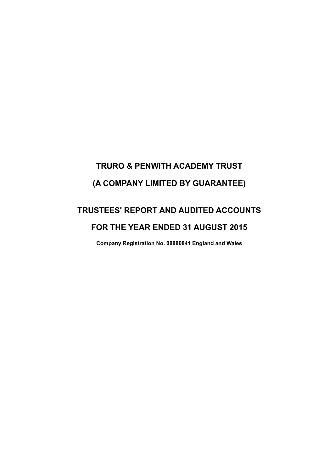# **TRURO & PENWITH ACADEMY TRUST (A COMPANY LIMITED BY GUARANTEE)**

# **TRUSTEES' REPORT AND AUDITED ACCOUNTS FOR THE YEAR ENDED 31 AUGUST 2015**

**Company Registration No. 08880841 England and Wales**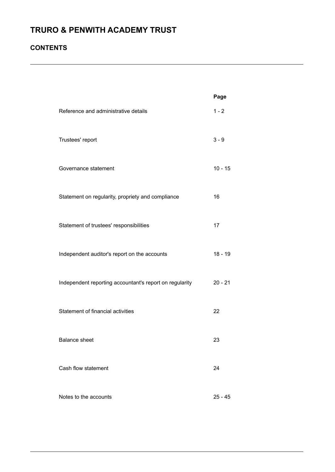### **CONTENTS**

|                                                         | Page      |
|---------------------------------------------------------|-----------|
| Reference and administrative details                    | $1 - 2$   |
| Trustees' report                                        | $3 - 9$   |
| Governance statement                                    | $10 - 15$ |
| Statement on regularity, propriety and compliance       | 16        |
| Statement of trustees' responsibilities                 | 17        |
| Independent auditor's report on the accounts            | $18 - 19$ |
| Independent reporting accountant's report on regularity | $20 - 21$ |
| Statement of financial activities                       | 22        |
| <b>Balance sheet</b>                                    | 23        |
| Cash flow statement                                     | 24        |
| Notes to the accounts                                   | 25 - 45   |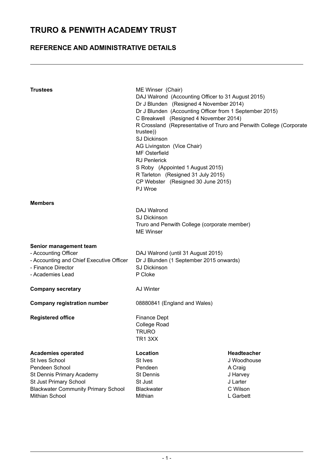### **REFERENCE AND ADMINISTRATIVE DETAILS**

| <b>Trustees</b>                                                                                                                                                                      | ME Winser (Chair)<br>DAJ Walrond (Accounting Officer to 31 August 2015)<br>Dr J Blunden (Resigned 4 November 2014)<br>Dr J Blunden (Accounting Officer from 1 September 2015)<br>C Breakwell (Resigned 4 November 2014)<br>R Crossland (Representative of Truro and Penwith College (Corporate<br>trustee))<br><b>SJ Dickinson</b><br>AG Livingston (Vice Chair)<br><b>MF Osterfield</b><br><b>RJ Penlerick</b><br>S Roby (Appointed 1 August 2015)<br>R Tarleton (Resigned 31 July 2015)<br>CP Webster (Resigned 30 June 2015)<br>PJ Wroe |                                                                                               |  |  |
|--------------------------------------------------------------------------------------------------------------------------------------------------------------------------------------|--------------------------------------------------------------------------------------------------------------------------------------------------------------------------------------------------------------------------------------------------------------------------------------------------------------------------------------------------------------------------------------------------------------------------------------------------------------------------------------------------------------------------------------------|-----------------------------------------------------------------------------------------------|--|--|
| <b>Members</b>                                                                                                                                                                       | DAJ Walrond<br><b>SJ Dickinson</b><br>Truro and Penwith College (corporate member)<br><b>ME Winser</b>                                                                                                                                                                                                                                                                                                                                                                                                                                     |                                                                                               |  |  |
| Senior management team<br>- Accounting Officer<br>- Accounting and Chief Executive Officer<br>- Finance Director<br>- Academies Lead                                                 | DAJ Walrond (until 31 August 2015)<br>Dr J Blunden (1 September 2015 onwards)<br><b>SJ Dickinson</b><br>P Cloke                                                                                                                                                                                                                                                                                                                                                                                                                            |                                                                                               |  |  |
| <b>Company secretary</b>                                                                                                                                                             | AJ Winter                                                                                                                                                                                                                                                                                                                                                                                                                                                                                                                                  |                                                                                               |  |  |
| <b>Company registration number</b>                                                                                                                                                   | 08880841 (England and Wales)                                                                                                                                                                                                                                                                                                                                                                                                                                                                                                               |                                                                                               |  |  |
| <b>Registered office</b>                                                                                                                                                             | <b>Finance Dept</b><br><b>College Road</b><br>TRURO<br>TR13XX                                                                                                                                                                                                                                                                                                                                                                                                                                                                              |                                                                                               |  |  |
| <b>Academies operated</b><br>St Ives School<br>Pendeen School<br>St Dennis Primary Academy<br>St Just Primary School<br><b>Blackwater Community Primary School</b><br>Mithian School | Location<br>St Ives<br>Pendeen<br><b>St Dennis</b><br>St Just<br><b>Blackwater</b><br>Mithian                                                                                                                                                                                                                                                                                                                                                                                                                                              | <b>Headteacher</b><br>J Woodhouse<br>A Craig<br>J Harvey<br>J Larter<br>C Wilson<br>L Garbett |  |  |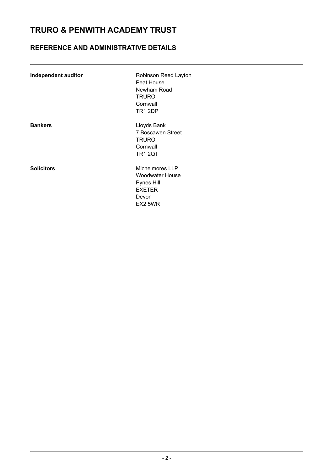### **REFERENCE AND ADMINISTRATIVE DETAILS**

| Independent auditor | Robinson Reed Layton<br>Peat House<br>Newham Road<br><b>TRURO</b><br>Cornwall<br><b>TR1 2DP</b> |
|---------------------|-------------------------------------------------------------------------------------------------|
| <b>Bankers</b>      | Lloyds Bank<br>7 Boscawen Street<br><b>TRURO</b><br>Cornwall<br><b>TR1 2QT</b>                  |
| <b>Solicitors</b>   | Michelmores LLP<br>Woodwater House<br>Pynes Hill<br><b>EXETER</b><br>Devon<br>FX2 5WR           |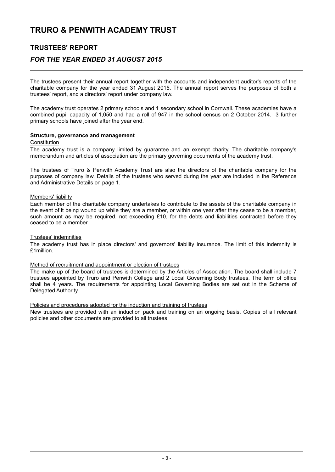### **TRUSTEES' REPORT**

### *FOR THE YEAR ENDED 31 AUGUST 2015*

The trustees present their annual report together with the accounts and independent auditor's reports of the charitable company for the year ended 31 August 2015. The annual report serves the purposes of both a trustees' report, and a directors' report under company law.

The academy trust operates 2 primary schools and 1 secondary school in Cornwall. These academies have a combined pupil capacity of 1,050 and had a roll of 947 in the school census on 2 October 2014. 3 further primary schools have joined after the year end.

### **Structure, governance and management**

#### **Constitution**

The academy trust is a company limited by guarantee and an exempt charity. The charitable company's memorandum and articles of association are the primary governing documents of the academy trust.

The trustees of Truro & Penwith Academy Trust are also the directors of the charitable company for the purposes of company law. Details of the trustees who served during the year are included in the Reference and Administrative Details on page 1.

### Members' liability

Each member of the charitable company undertakes to contribute to the assets of the charitable company in the event of it being wound up while they are a member, or within one year after they cease to be a member, such amount as may be required, not exceeding £10, for the debts and liabilities contracted before they ceased to be a member.

### Trustees' indemnities

The academy trust has in place directors' and governors' liability insurance. The limit of this indemnity is £1million.

### Method of recruitment and appointment or election of trustees

The make up of the board of trustees is determined by the Articles of Association. The board shall include 7 trustees appointed by Truro and Penwith College and 2 Local Governing Body trustees. The term of office shall be 4 years. The requirements for appointing Local Governing Bodies are set out in the Scheme of Delegated Authority.

### Policies and procedures adopted for the induction and training of trustees

New trustees are provided with an induction pack and training on an ongoing basis. Copies of all relevant policies and other documents are provided to all trustees.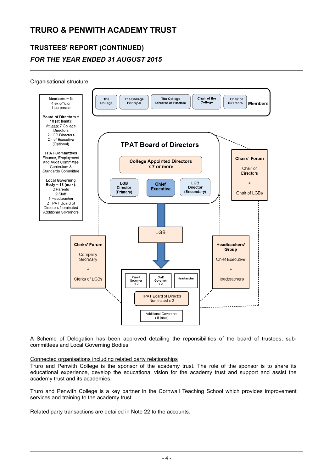# **TRUSTEES' REPORT (CONTINUED)** *FOR THE YEAR ENDED 31 AUGUST 2015*

### Organisational structure



A Scheme of Delegation has been approved detailing the reponsibilities of the board of trustees, subcommittees and Local Governing Bodies.

### Connected organisations including related party relationships

Truro and Penwith College is the sponsor of the academy trust. The role of the sponsor is to share its educational experience, develop the educational vision for the academy trust and support and assist the academy trust and its academies.

Truro and Penwith College is a key partner in the Cornwall Teaching School which provides improvement services and training to the academy trust.

Related party transactions are detailed in Note 22 to the accounts.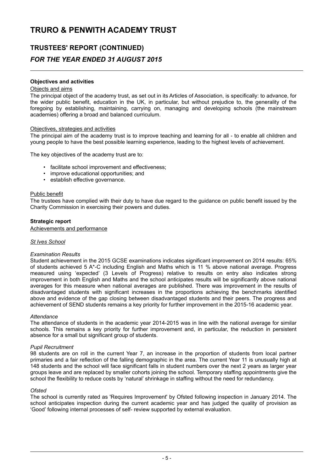### **TRUSTEES' REPORT (CONTINUED)** *FOR THE YEAR ENDED 31 AUGUST 2015*

### **Objectives and activities**

### Objects and aims

The principal object of the academy trust, as set out in its Articles of Association, is specifically: to advance, for the wider public benefit, education in the UK, in particular, but without prejudice to, the generality of the foregoing by establishing, maintaining, carrying on, managing and developing schools (the mainstream academies) offering a broad and balanced curriculum.

### Objectives, strategies and activities

The principal aim of the academy trust is to improve teaching and learning for all - to enable all children and young people to have the best possible learning experience, leading to the highest levels of achievement.

The key objectives of the academy trust are to:

- facilitate school improvement and effectiveness;
- improve educational opportunities; and
- establish effective governance.

### Public benefit

The trustees have complied with their duty to have due regard to the guidance on public benefit issued by the Charity Commission in exercising their powers and duties.

### **Strategic report**

Achievements and performance

### *St Ives School*

### *Examination Results*

Student achievement in the 2015 GCSE examinations indicates significant improvement on 2014 results: 65% of students achieved 5 A\*-C including English and Maths which is 11 % above national average. Progress measured using 'expected' (3 Levels of Progress) relative to results on entry also indicates strong improvement in both English and Maths and the school anticipates results will be significantly above national averages for this measure when national averages are published. There was improvement in the results of disadvantaged students with significant increases in the proportions achieving the benchmarks identified above and evidence of the gap closing between disadvantaged students and their peers. The progress and achievement of SEND students remains a key priority for further improvement in the 2015-16 academic year.

### *Attendance*

The attendance of students in the academic year 2014-2015 was in line with the national average for similar schools. This remains a key priority for further improvement and, in particular, the reduction in persistent absence for a small but significant group of students.

### *Pupil Recruitment*

98 students are on roll in the current Year 7, an increase in the proportion of students from local partner primaries and a fair reflection of the falling demographic in the area. The current Year 11 is unusually high at 148 students and the school will face significant falls in student numbers over the next 2 years as larger year groups leave and are replaced by smaller cohorts joining the school. Temporary staffing appointments give the school the flexibility to reduce costs by 'natural' shrinkage in staffing without the need for redundancy.

### *Ofsted*

The school is currently rated as 'Requires Improvement' by Ofsted following inspection in January 2014. The school anticipates inspection during the current academic year and has judged the quality of provision as 'Good' following internal processes of self- review supported by external evaluation.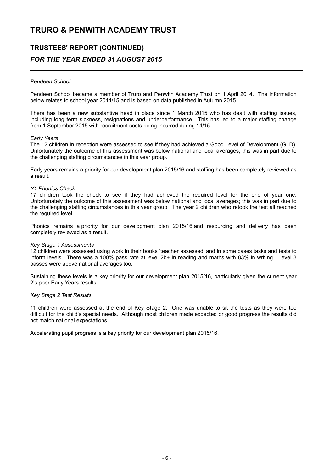# **TRUSTEES' REPORT (CONTINUED)** *FOR THE YEAR ENDED 31 AUGUST 2015*

### *Pendeen School*

Pendeen School became a member of Truro and Penwith Academy Trust on 1 April 2014. The information below relates to school year 2014/15 and is based on data published in Autumn 2015.

There has been a new substantive head in place since 1 March 2015 who has dealt with staffing issues, including long term sickness, resignations and underperformance. This has led to a major staffing change from 1 September 2015 with recruitment costs being incurred during 14/15.

### *Early Years*

The 12 children in reception were assessed to see if they had achieved a Good Level of Development (GLD). Unfortunately the outcome of this assessment was below national and local averages; this was in part due to the challenging staffing circumstances in this year group.

Early years remains a priority for our development plan 2015/16 and staffing has been completely reviewed as a result.

### *Y1 Phonics Check*

17 children took the check to see if they had achieved the required level for the end of year one. Unfortunately the outcome of this assessment was below national and local averages; this was in part due to the challenging staffing circumstances in this year group. The year 2 children who retook the test all reached the required level.

Phonics remains a priority for our development plan 2015/16 and resourcing and delivery has been completely reviewed as a result.

### *Key Stage 1 Assessments*

12 children were assessed using work in their books 'teacher assessed' and in some cases tasks and tests to inform levels. There was a 100% pass rate at level 2b+ in reading and maths with 83% in writing. Level 3 passes were above national averages too.

Sustaining these levels is a key priority for our development plan 2015/16, particularly given the current year 2's poor Early Years results.

### *Key Stage 2 Test Results*

11 children were assessed at the end of Key Stage 2. One was unable to sit the tests as they were too difficult for the child's special needs. Although most children made expected or good progress the results did not match national expectations.

Accelerating pupil progress is a key priority for our development plan 2015/16.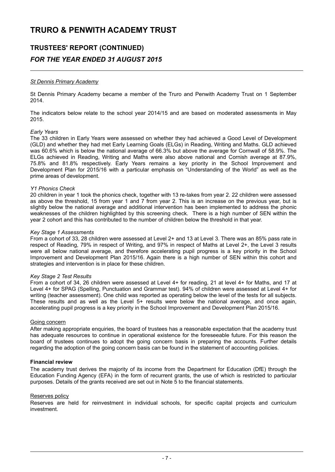# **TRUSTEES' REPORT (CONTINUED)** *FOR THE YEAR ENDED 31 AUGUST 2015*

### *St Dennis Primary Academy*

St Dennis Primary Academy became a member of the Truro and Penwith Academy Trust on 1 September 2014.

The indicators below relate to the school year 2014/15 and are based on moderated assessments in May 2015.

### *Early Years*

The 33 children in Early Years were assessed on whether they had achieved a Good Level of Development (GLD) and whether they had met Early Learning Goals (ELGs) in Reading, Writing and Maths. GLD achieved was 60.6% which is below the national average of 66.3% but above the average for Cornwall of 58.9%. The ELGs achieved in Reading, Writing and Maths were also above national and Cornish average at 87.9%, 75.8% and 81.8% respectively. Early Years remains a key priority in the School Improvement and Development Plan for 2015/16 with a particular emphasis on "Understanding of the World" as well as the prime areas of development.

### *Y1 Phonics Check*

20 children in year 1 took the phonics check, together with 13 re-takes from year 2. 22 children were assessed as above the threshold, 15 from year 1 and 7 from year 2. This is an increase on the previous year, but is slightly below the national average and additional intervention has been implemented to address the phonic weaknesses of the children highlighted by this screening check. There is a high number of SEN within the year 2 cohort and this has contributed to the number of children below the threshold in that year.

### *Key Stage 1 Assessments*

From a cohort of 33, 28 children were assessed at Level 2+ and 13 at Level 3. There was an 85% pass rate in respect of Reading, 79% in respect of Writing, and 97% in respect of Maths at Level 2+, the Level 3 results were all below national average, and therefore accelerating pupil progress is a key priority in the School Improvement and Development Plan 2015/16. Again there is a high number of SEN within this cohort and strategies and intervention is in place for these children.

### *Key Stage 2 Test Results*

From a cohort of 34, 26 children were assessed at Level 4+ for reading, 21 at level 4+ for Maths, and 17 at Level 4+ for SPAG (Spelling, Punctuation and Grammar test). 94% of children were assessed at Level 4+ for writing (teacher assessment). One child was reported as operating below the level of the tests for all subjects. These results and as well as the Level 5+ results were below the national average, and once again, accelerating pupil progress is a key priority in the School Improvement and Development Plan 2015/16.

### Going concern

After making appropriate enquiries, the board of trustees has a reasonable expectation that the academy trust has adequate resources to continue in operational existence for the foreseeable future. For this reason the board of trustees continues to adopt the going concern basis in preparing the accounts. Further details regarding the adoption of the going concern basis can be found in the statement of accounting policies.

### **Financial review**

The academy trust derives the majority of its income from the Department for Education (DfE) through the Education Funding Agency (EFA) in the form of recurrent grants, the use of which is restricted to particular purposes. Details of the grants received are set out in Note 5 to the financial statements.

### Reserves policy

Reserves are held for reinvestment in individual schools, for specific capital projects and curriculum investment.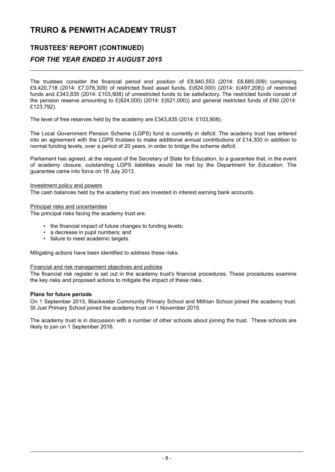### **TRUSTEES' REPORT (CONTINUED)**

### *FOR THE YEAR ENDED 31 AUGUST 2015*

The trustees consider the financial period end position of £8,940,553 (2014: £6,685,009) comprising £9,420,718 (2014: £7,078,309) of restricted fixed asset funds, £(824,000) (2014: £(497,208)) of restricted funds and £343,835 (2014: £103,908) of unrestricted funds to be satisfactory. The restricted funds consist of the pension reserve amounting to £(824,000) (2014: £(621,000)) and general restricted funds of £Nil (2014: £123,792).

The level of free reserves held by the academy are £343,835 (2014: £103,908).

The Local Government Pension Scheme (LGPS) fund is currently in deficit. The academy trust has entered into an agreement with the LGPS trustees to make additional annual contributions of £14,300 in addition to normal funding levels, over a period of 20 years, in order to bridge the scheme deficit.

Parliament has agreed, at the request of the Secretary of State for Education, to a guarantee that, in the event of academy closure, outstanding LGPS liabilities would be met by the Department for Education. The guarantee came into force on 18 July 2013.

Investment policy and powers

The cash balances held by the academy trust are invested in interest earning bank accounts.

Principal risks and uncertainties

The principal risks facing the academy trust are:

- the financial impact of future changes to funding levels;
- a decrease in pupil numbers; and
- failure to meet academic targets.

Mitigating actions have been identified to address these risks.

### Financial and risk management objectives and policies

The financial risk register is set out in the academy trust's financial procedures. These procedures examine the key risks and proposed actions to mitigate the impact of these risks.

### **Plans for future periods**

On 1 September 2015, Blackwater Community Primary School and Mithian School joined the academy trust. St Just Primary School joined the academy trust on 1 November 2015.

The academy trust is in discussion with a number of other schools about joining the trust. These schools are likely to join on 1 September 2016.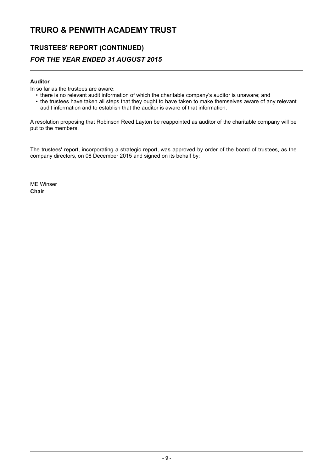### **TRUSTEES' REPORT (CONTINUED)** *FOR THE YEAR ENDED 31 AUGUST 2015*

### **Auditor**

In so far as the trustees are aware:

- there is no relevant audit information of which the charitable company's auditor is unaware; and
- the trustees have taken all steps that they ought to have taken to make themselves aware of any relevant audit information and to establish that the auditor is aware of that information.

A resolution proposing that Robinson Reed Layton be reappointed as auditor of the charitable company will be put to the members.

The trustees' report, incorporating a strategic report, was approved by order of the board of trustees, as the company directors, on 08 December 2015 and signed on its behalf by:

ME Winser **Chair**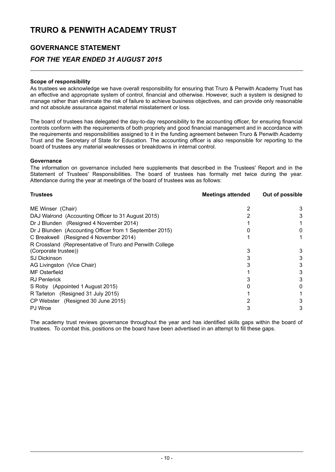### **GOVERNANCE STATEMENT**

### *FOR THE YEAR ENDED 31 AUGUST 2015*

### **Scope of responsibility**

As trustees we acknowledge we have overall responsibility for ensuring that Truro & Penwith Academy Trust has an effective and appropriate system of control, financial and otherwise. However, such a system is designed to manage rather than eliminate the risk of failure to achieve business objectives, and can provide only reasonable and not absolute assurance against material misstatement or loss.

The board of trustees has delegated the day-to-day responsibility to the accounting officer, for ensuring financial controls conform with the requirements of both propriety and good financial management and in accordance with the requirements and responsibilities assigned to it in the funding agreement between Truro & Penwith Academy Trust and the Secretary of State for Education. The accounting officer is also responsible for reporting to the board of trustees any material weaknesses or breakdowns in internal control.

### **Governance**

The information on governance included here supplements that described in the Trustees' Report and in the Statement of Trustees' Responsibilities. The board of trustees has formally met twice during the year. Attendance during the year at meetings of the board of trustees was as follows:

| <b>Trustees</b>                                          | <b>Meetings attended</b> | Out of possible |  |
|----------------------------------------------------------|--------------------------|-----------------|--|
| ME Winser (Chair)                                        |                          | 3               |  |
| DAJ Walrond (Accounting Officer to 31 August 2015)       |                          | 3               |  |
| Dr J Blunden (Resigned 4 November 2014)                  |                          |                 |  |
| Dr J Blunden (Accounting Officer from 1 September 2015)  |                          |                 |  |
| C Breakwell (Resigned 4 November 2014)                   |                          |                 |  |
| R Crossland (Representative of Truro and Penwith College |                          |                 |  |
| (Corporate trustee))                                     |                          | 3               |  |
| <b>SJ Dickinson</b>                                      |                          | 3               |  |
| AG Livingston (Vice Chair)                               |                          | 3               |  |
| MF Osterfield                                            |                          | 3               |  |
| <b>RJ</b> Penlerick                                      |                          |                 |  |
| S Roby (Appointed 1 August 2015)                         |                          | 0               |  |
| R Tarleton (Resigned 31 July 2015)                       |                          |                 |  |
| CP Webster (Resigned 30 June 2015)                       |                          |                 |  |
| PJ Wroe                                                  |                          | 3               |  |

The academy trust reviews governance throughout the year and has identified skills gaps within the board of trustees. To combat this, positions on the board have been advertised in an attempt to fill these gaps.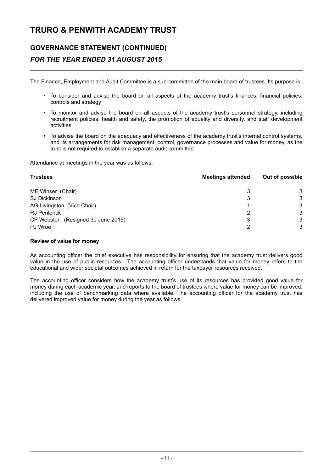### **GOVERNANCE STATEMENT (CONTINUED)** *FOR THE YEAR ENDED 31 AUGUST 2015*

The Finance, Employment and Audit Committee is a sub-committee of the main board of trustees. Its purpose is:

- To consider and advise the board on all aspects of the academy trust's finances, financial policies, controls and strategy
- To monitor and advise the board on all aspects of the academy trust's personnel strategy, including recruitment policies, health and safety, the promotion of equality and diversity, and staff development activities
- To advise the board on the adequacy and effectiveness of the academy trust's internal control systems, and its arrangements for risk management, control, governance processes and value for money, as the trust is not required to establish a separate audit committee.

Attendance at meetings in the year was as follows:

| <b>Trustees</b>                    | <b>Meetings attended</b> | Out of possible |  |
|------------------------------------|--------------------------|-----------------|--|
| ME Winser (Chair)                  | 3                        | 3               |  |
| <b>SJ Dickinson</b>                | 3                        | 3               |  |
| AG Livingston (Vice Chair)         |                          | 3               |  |
| <b>RJ Penlerick</b>                | 2                        | 3               |  |
| CP Webster (Resigned 30 June 2015) | 3                        | 3               |  |
| PJ Wroe                            | າ                        | 3               |  |

### **Review of value for money**

As accounting officer the chief executive has responsibility for ensuring that the academy trust delivers good value in the use of public resources. The accounting officer understands that value for money refers to the educational and wider societal outcomes achieved in return for the taxpayer resources received.

The accounting officer considers how the academy trust's use of its resources has provided good value for money during each academic year, and reports to the board of trustees where value for money can be improved, including the use of benchmarking data where available. The accounting officer for the academy trust has delivered improved value for money during the year as follows.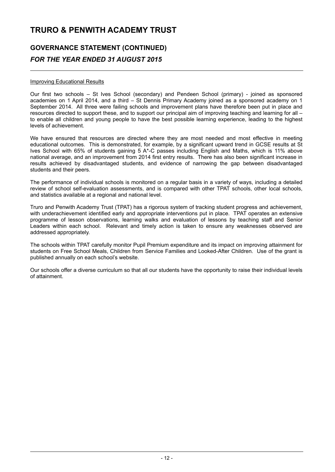# **GOVERNANCE STATEMENT (CONTINUED)** *FOR THE YEAR ENDED 31 AUGUST 2015*

### Improving Educational Results

Our first two schools – St Ives School (secondary) and Pendeen School (primary) - joined as sponsored academies on 1 April 2014, and a third - St Dennis Primary Academy joined as a sponsored academy on 1 September 2014. All three were failing schools and improvement plans have therefore been put in place and resources directed to support these, and to support our principal aim of improving teaching and learning for all – to enable all children and young people to have the best possible learning experience, leading to the highest levels of achievement.

We have ensured that resources are directed where they are most needed and most effective in meeting educational outcomes. This is demonstrated, for example, by a significant upward trend in GCSE results at St Ives School with 65% of students gaining 5 A\*-C passes including English and Maths, which is 11% above national average, and an improvement from 2014 first entry results. There has also been significant increase in results achieved by disadvantaged students, and evidence of narrowing the gap between disadvantaged students and their peers.

The performance of individual schools is monitored on a regular basis in a variety of ways, including a detailed review of school self-evaluation assessments, and is compared with other TPAT schools, other local schools, and statistics available at a regional and national level.

Truro and Penwith Academy Trust (TPAT) has a rigorous system of tracking student progress and achievement, with underachievement identified early and appropriate interventions put in place. TPAT operates an extensive programme of lesson observations, learning walks and evaluation of lessons by teaching staff and Senior Leaders within each school. Relevant and timely action is taken to ensure any weaknesses observed are addressed appropriately.

The schools within TPAT carefully monitor Pupil Premium expenditure and its impact on improving attainment for students on Free School Meals, Children from Service Families and Looked-After Children. Use of the grant is published annually on each school's website.

Our schools offer a diverse curriculum so that all our students have the opportunity to raise their individual levels of attainment.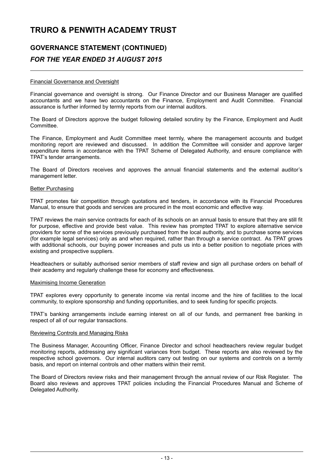### **GOVERNANCE STATEMENT (CONTINUED)** *FOR THE YEAR ENDED 31 AUGUST 2015*

### Financial Governance and Oversight

Financial governance and oversight is strong. Our Finance Director and our Business Manager are qualified accountants and we have two accountants on the Finance, Employment and Audit Committee. Financial assurance is further informed by termly reports from our internal auditors.

The Board of Directors approve the budget following detailed scrutiny by the Finance, Employment and Audit Committee.

The Finance, Employment and Audit Committee meet termly, where the management accounts and budget monitoring report are reviewed and discussed. In addition the Committee will consider and approve larger expenditure items in accordance with the TPAT Scheme of Delegated Authority, and ensure compliance with TPAT's tender arrangements.

The Board of Directors receives and approves the annual financial statements and the external auditor's management letter.

### Better Purchasing

TPAT promotes fair competition through quotations and tenders, in accordance with its Financial Procedures Manual, to ensure that goods and services are procured in the most economic and effective way.

TPAT reviews the main service contracts for each of its schools on an annual basis to ensure that they are still fit for purpose, effective and provide best value. This review has prompted TPAT to explore alternative service providers for some of the services previously purchased from the local authority, and to purchase some services (for example legal services) only as and when required, rather than through a service contract. As TPAT grows with additional schools, our buying power increases and puts us into a better position to negotiate prices with existing and prospective suppliers.

Headteachers or suitably authorised senior members of staff review and sign all purchase orders on behalf of their academy and regularly challenge these for economy and effectiveness.

### Maximising Income Generation

TPAT explores every opportunity to generate income via rental income and the hire of facilities to the local community, to explore sponsorship and funding opportunities, and to seek funding for specific projects.

TPAT's banking arrangements include earning interest on all of our funds, and permanent free banking in respect of all of our regular transactions.

### Reviewing Controls and Managing Risks

The Business Manager, Accounting Officer, Finance Director and school headteachers review regular budget monitoring reports, addressing any significant variances from budget. These reports are also reviewed by the respective school governors. Our internal auditors carry out testing on our systems and controls on a termly basis, and report on internal controls and other matters within their remit.

The Board of Directors review risks and their management through the annual review of our Risk Register. The Board also reviews and approves TPAT policies including the Financial Procedures Manual and Scheme of Delegated Authority.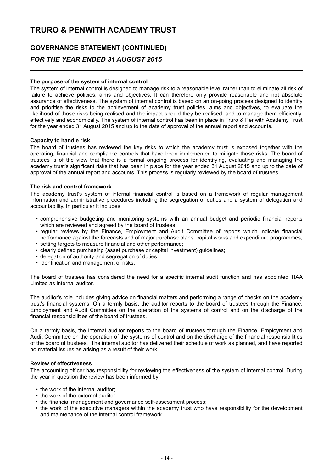# **GOVERNANCE STATEMENT (CONTINUED)** *FOR THE YEAR ENDED 31 AUGUST 2015*

### **The purpose of the system of internal control**

The system of internal control is designed to manage risk to a reasonable level rather than to eliminate all risk of failure to achieve policies, aims and objectives. It can therefore only provide reasonable and not absolute assurance of effectiveness. The system of internal control is based on an on-going process designed to identify and prioritise the risks to the achievement of academy trust policies, aims and objectives, to evaluate the likelihood of those risks being realised and the impact should they be realised, and to manage them efficiently, effectively and economically. The system of internal control has been in place in Truro & Penwith Academy Trust for the year ended 31 August 2015 and up to the date of approval of the annual report and accounts.

### **Capacity to handle risk**

The board of trustees has reviewed the key risks to which the academy trust is exposed together with the operating, financial and compliance controls that have been implemented to mitigate those risks. The board of trustees is of the view that there is a formal ongoing process for identifying, evaluating and managing the academy trust's significant risks that has been in place for the year ended 31 August 2015 and up to the date of approval of the annual report and accounts. This process is regularly reviewed by the board of trustees.

### **The risk and control framework**

The academy trust's system of internal financial control is based on a framework of regular management information and administrative procedures including the segregation of duties and a system of delegation and accountability. In particular it includes:

- comprehensive budgeting and monitoring systems with an annual budget and periodic financial reports which are reviewed and agreed by the board of trustees:
- regular reviews by the Finance, Employment and Audit Committee of reports which indicate financial performance against the forecasts and of major purchase plans, capital works and expenditure programmes; • setting targets to measure financial and other performance;
- clearly defined purchasing (asset purchase or capital investment) guidelines;
- delegation of authority and segregation of duties;
- identification and management of risks.

The board of trustees has considered the need for a specific internal audit function and has appointed TIAA Limited as internal auditor.

The auditor's role includes giving advice on financial matters and performing a range of checks on the academy trust's financial systems. On a termly basis, the auditor reports to the board of trustees through the Finance, Employment and Audit Committee on the operation of the systems of control and on the discharge of the financial responsibilities of the board of trustees.

On a termly basis, the internal auditor reports to the board of trustees through the Finance, Employment and Audit Committee on the operation of the systems of control and on the discharge of the financial responsibilities of the board of trustees. The internal auditor has delivered their schedule of work as planned, and have reported no material issues as arising as a result of their work.

### **Review of effectiveness**

The accounting officer has responsibility for reviewing the effectiveness of the system of internal control. During the year in question the review has been informed by:

- the work of the internal auditor;
- the work of the external auditor;
- the financial management and governance self-assessment process;
- the work of the executive managers within the academy trust who have responsibility for the development and maintenance of the internal control framework.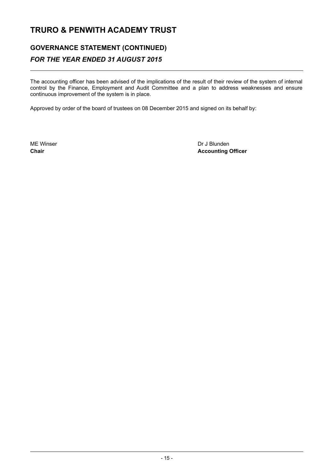# **GOVERNANCE STATEMENT (CONTINUED)** *FOR THE YEAR ENDED 31 AUGUST 2015*

The accounting officer has been advised of the implications of the result of their review of the system of internal control by the Finance, Employment and Audit Committee and a plan to address weaknesses and ensure continuous improvement of the system is in place.

Approved by order of the board of trustees on 08 December 2015 and signed on its behalf by:

ME Winser **Dr J Blunden Chair Accounting Officer**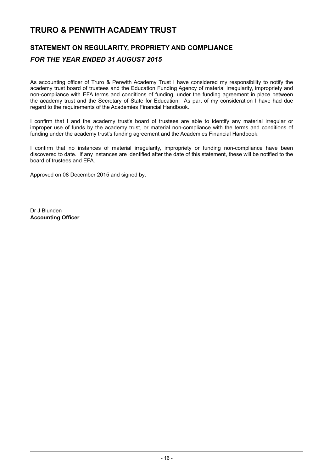### **STATEMENT ON REGULARITY, PROPRIETY AND COMPLIANCE** *FOR THE YEAR ENDED 31 AUGUST 2015*

As accounting officer of Truro & Penwith Academy Trust I have considered my responsibility to notify the academy trust board of trustees and the Education Funding Agency of material irregularity, impropriety and non-compliance with EFA terms and conditions of funding, under the funding agreement in place between the academy trust and the Secretary of State for Education. As part of my consideration I have had due regard to the requirements of the Academies Financial Handbook.

I confirm that I and the academy trust's board of trustees are able to identify any material irregular or improper use of funds by the academy trust, or material non-compliance with the terms and conditions of funding under the academy trust's funding agreement and the Academies Financial Handbook.

I confirm that no instances of material irregularity, impropriety or funding non-compliance have been discovered to date. If any instances are identified after the date of this statement, these will be notified to the board of trustees and EFA.

Approved on 08 December 2015 and signed by:

Dr J Blunden **Accounting Officer**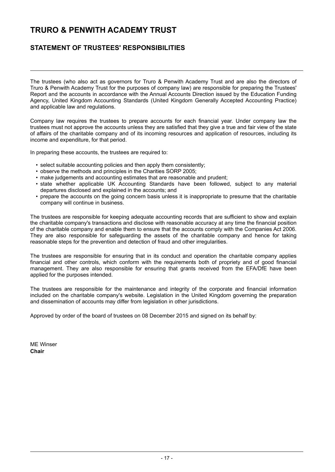### **STATEMENT OF TRUSTEES' RESPONSIBILITIES**

The trustees (who also act as governors for Truro & Penwith Academy Trust and are also the directors of Truro & Penwith Academy Trust for the purposes of company law) are responsible for preparing the Trustees' Report and the accounts in accordance with the Annual Accounts Direction issued by the Education Funding Agency, United Kingdom Accounting Standards (United Kingdom Generally Accepted Accounting Practice) and applicable law and regulations.

Company law requires the trustees to prepare accounts for each financial year. Under company law the trustees must not approve the accounts unless they are satisfied that they give a true and fair view of the state of affairs of the charitable company and of its incoming resources and application of resources, including its income and expenditure, for that period.

In preparing these accounts, the trustees are required to:

- select suitable accounting policies and then apply them consistently;
- observe the methods and principles in the Charities SORP 2005;
- make judgements and accounting estimates that are reasonable and prudent;
- state whether applicable UK Accounting Standards have been followed, subject to any material departures disclosed and explained in the accounts; and
- prepare the accounts on the going concern basis unless it is inappropriate to presume that the charitable company will continue in business.

The trustees are responsible for keeping adequate accounting records that are sufficient to show and explain the charitable company's transactions and disclose with reasonable accuracy at any time the financial position of the charitable company and enable them to ensure that the accounts comply with the Companies Act 2006. They are also responsible for safeguarding the assets of the charitable company and hence for taking reasonable steps for the prevention and detection of fraud and other irregularities.

The trustees are responsible for ensuring that in its conduct and operation the charitable company applies financial and other controls, which conform with the requirements both of propriety and of good financial management. They are also responsible for ensuring that grants received from the EFA/DfE have been applied for the purposes intended.

The trustees are responsible for the maintenance and integrity of the corporate and financial information included on the charitable company's website. Legislation in the United Kingdom governing the preparation and dissemination of accounts may differ from legislation in other jurisdictions.

Approved by order of the board of trustees on 08 December 2015 and signed on its behalf by:

ME Winser **Chair**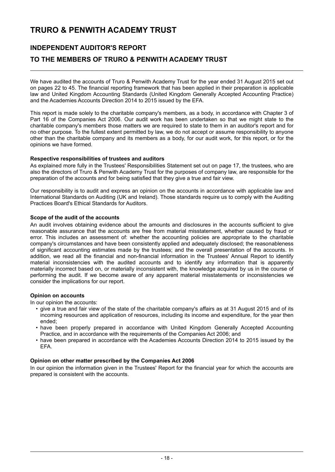### **INDEPENDENT AUDITOR'S REPORT**

### **TO THE MEMBERS OF TRURO & PENWITH ACADEMY TRUST**

We have audited the accounts of Truro & Penwith Academy Trust for the year ended 31 August 2015 set out on pages 22 to 45. The financial reporting framework that has been applied in their preparation is applicable law and United Kingdom Accounting Standards (United Kingdom Generally Accepted Accounting Practice) and the Academies Accounts Direction 2014 to 2015 issued by the EFA.

This report is made solely to the charitable company's members, as a body, in accordance with Chapter 3 of Part 16 of the Companies Act 2006. Our audit work has been undertaken so that we might state to the charitable company's members those matters we are required to state to them in an auditor's report and for no other purpose. To the fullest extent permitted by law, we do not accept or assume responsibility to anyone other than the charitable company and its members as a body, for our audit work, for this report, or for the opinions we have formed.

### **Respective responsibilities of trustees and auditors**

As explained more fully in the Trustees' Responsibilities Statement set out on page 17, the trustees, who are also the directors of Truro & Penwith Academy Trust for the purposes of company law, are responsible for the preparation of the accounts and for being satisfied that they give a true and fair view.

Our responsibility is to audit and express an opinion on the accounts in accordance with applicable law and International Standards on Auditing (UK and Ireland). Those standards require us to comply with the Auditing Practices Board's Ethical Standards for Auditors.

### **Scope of the audit of the accounts**

An audit involves obtaining evidence about the amounts and disclosures in the accounts sufficient to give reasonable assurance that the accounts are free from material misstatement, whether caused by fraud or error. This includes an assessment of: whether the accounting policies are appropriate to the charitable company's circumstances and have been consistently applied and adequately disclosed; the reasonableness of significant accounting estimates made by the trustees; and the overall presentation of the accounts. In addition, we read all the financial and non-financial information in the Trustees' Annual Report to identify material inconsistencies with the audited accounts and to identify any information that is apparently materially incorrect based on, or materially inconsistent with, the knowledge acquired by us in the course of performing the audit. If we become aware of any apparent material misstatements or inconsistencies we consider the implications for our report.

### **Opinion on accounts**

In our opinion the accounts:

- give a true and fair view of the state of the charitable company's affairs as at 31 August 2015 and of its incoming resources and application of resources, including its income and expenditure, for the year then ended;
- have been properly prepared in accordance with United Kingdom Generally Accepted Accounting Practice, and in accordance with the requirements of the Companies Act 2006; and
- have been prepared in accordance with the Academies Accounts Direction 2014 to 2015 issued by the EFA.

### **Opinion on other matter prescribed by the Companies Act 2006**

In our opinion the information given in the Trustees' Report for the financial year for which the accounts are prepared is consistent with the accounts.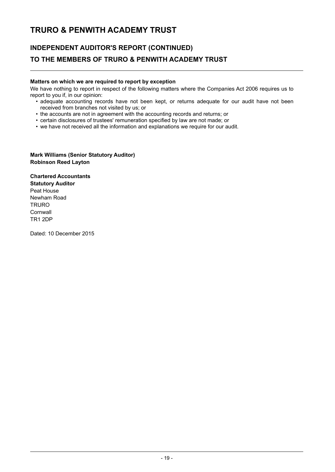# **INDEPENDENT AUDITOR'S REPORT (CONTINUED) TO THE MEMBERS OF TRURO & PENWITH ACADEMY TRUST**

### **Matters on which we are required to report by exception**

We have nothing to report in respect of the following matters where the Companies Act 2006 requires us to report to you if, in our opinion:

- adequate accounting records have not been kept, or returns adequate for our audit have not been received from branches not visited by us; or
- the accounts are not in agreement with the accounting records and returns; or
- certain disclosures of trustees' remuneration specified by law are not made; or
- we have not received all the information and explanations we require for our audit.

### **Mark Williams (Senior Statutory Auditor) Robinson Reed Layton**

**Chartered Accountants Statutory Auditor** Peat House Newham Road **TRURO Cornwall** TR1 2DP

Dated: 10 December 2015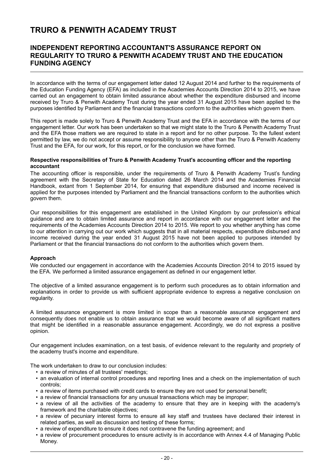### **INDEPENDENT REPORTING ACCOUNTANT'S ASSURANCE REPORT ON REGULARITY TO TRURO & PENWITH ACADEMY TRUST AND THE EDUCATION FUNDING AGENCY**

In accordance with the terms of our engagement letter dated 12 August 2014 and further to the requirements of the Education Funding Agency (EFA) as included in the Academies Accounts Direction 2014 to 2015, we have carried out an engagement to obtain limited assurance about whether the expenditure disbursed and income received by Truro & Penwith Academy Trust during the year ended 31 August 2015 have been applied to the purposes identified by Parliament and the financial transactions conform to the authorities which govern them.

This report is made solely to Truro & Penwith Academy Trust and the EFA in accordance with the terms of our engagement letter. Our work has been undertaken so that we might state to the Truro & Penwith Academy Trust and the EFA those matters we are required to state in a report and for no other purpose. To the fullest extent permitted by law, we do not accept or assume responsibility to anyone other than the Truro & Penwith Academy Trust and the EFA, for our work, for this report, or for the conclusion we have formed.

### **Respective responsibilities of Truro & Penwith Academy Trust's accounting officer and the reporting accountant**

The accounting officer is responsible, under the requirements of Truro & Penwith Academy Trust's funding agreement with the Secretary of State for Education dated 26 March 2014 and the Academies Financial Handbook, extant from 1 September 2014, for ensuring that expenditure disbursed and income received is applied for the purposes intended by Parliament and the financial transactions conform to the authorities which govern them.

Our responsibilities for this engagement are established in the United Kingdom by our profession's ethical guidance and are to obtain limited assurance and report in accordance with our engagement letter and the requirements of the Academies Accounts Direction 2014 to 2015. We report to you whether anything has come to our attention in carrying out our work which suggests that in all material respects, expenditure disbursed and income received during the year ended 31 August 2015 have not been applied to purposes intended by Parliament or that the financial transactions do not conform to the authorities which govern them.

### **Approach**

We conducted our engagement in accordance with the Academies Accounts Direction 2014 to 2015 issued by the EFA. We performed a limited assurance engagement as defined in our engagement letter.

The objective of a limited assurance engagement is to perform such procedures as to obtain information and explanations in order to provide us with sufficient appropriate evidence to express a negative conclusion on regularity.

A limited assurance engagement is more limited in scope than a reasonable assurance engagement and consequently does not enable us to obtain assurance that we would become aware of all significant matters that might be identified in a reasonable assurance engagement. Accordingly, we do not express a positive opinion.

Our engagement includes examination, on a test basis, of evidence relevant to the regularity and propriety of the academy trust's income and expenditure.

The work undertaken to draw to our conclusion includes:

- a review of minutes of all trustees' meetings;
- an evaluation of internal control procedures and reporting lines and a check on the implementation of such controls;
- a review of items purchased with credit cards to ensure they are not used for personal benefit;
- a review of financial transactions for any unusual transactions which may be improper;
- a review of all the activities of the academy to ensure that they are in keeping with the academy's framework and the charitable objectives;
- a review of pecuniary interest forms to ensure all key staff and trustees have declared their interest in related parties, as well as discussion and testing of these forms;
- a review of expenditure to ensure it does not contravene the funding agreement; and
- a review of procurement procedures to ensure activity is in accordance with Annex 4.4 of Managing Public Money.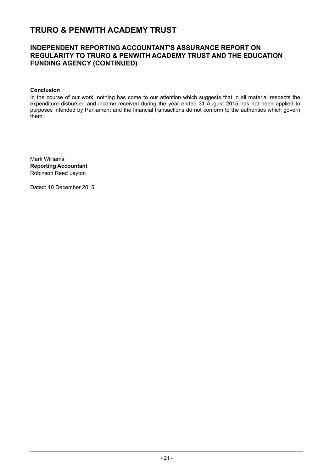### **INDEPENDENT REPORTING ACCOUNTANT'S ASSURANCE REPORT ON REGULARITY TO TRURO & PENWITH ACADEMY TRUST AND THE EDUCATION FUNDING AGENCY (CONTINUED)**

### **Conclusion**

In the course of our work, nothing has come to our attention which suggests that in all material respects the expenditure disbursed and income received during the year ended 31 August 2015 has not been applied to purposes intended by Parliament and the financial transactions do not conform to the authorities which govern them.

Mark Williams **Reporting Accountant** Robinson Reed Layton

Dated: 10 December 2015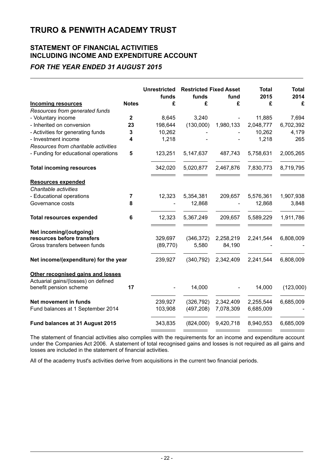### **STATEMENT OF FINANCIAL ACTIVITIES INCLUDING INCOME AND EXPENDITURE ACCOUNT**

### *FOR THE YEAR ENDED 31 AUGUST 2015*

|                                                    |                | <b>Unrestricted</b> | <b>Restricted Fixed Asset</b> |           | <b>Total</b> | <b>Total</b> |
|----------------------------------------------------|----------------|---------------------|-------------------------------|-----------|--------------|--------------|
|                                                    |                | funds               | funds                         | fund      | 2015         | 2014         |
| <b>Incoming resources</b>                          | <b>Notes</b>   | £                   | £                             | £         | £            | £            |
| Resources from generated funds                     |                |                     |                               |           |              |              |
| - Voluntary income                                 | $\overline{2}$ | 8,645               | 3,240                         |           | 11,885       | 7,694        |
| - Inherited on conversion                          | 23             | 198,644             | (130,000)                     | 1,980,133 | 2,048,777    | 6,702,392    |
| - Activities for generating funds                  | 3              | 10,262              |                               |           | 10,262       | 4,179        |
| - Investment income                                | 4              | 1,218               |                               |           | 1,218        | 265          |
| Resources from charitable activities               |                |                     |                               |           |              |              |
| - Funding for educational operations               | 5              | 123,251             | 5,147,637                     | 487,743   | 5,758,631    | 2,005,265    |
| <b>Total incoming resources</b>                    |                | 342,020             | 5,020,877                     | 2,467,876 | 7,830,773    | 8,719,795    |
|                                                    |                |                     |                               |           |              |              |
| <b>Resources expended</b><br>Charitable activities |                |                     |                               |           |              |              |
|                                                    | 7              |                     |                               |           |              |              |
| - Educational operations<br>Governance costs       | 8              | 12,323              | 5,354,381<br>12,868           | 209,657   | 5,576,361    | 1,907,938    |
|                                                    |                |                     |                               |           | 12,868       | 3,848        |
| <b>Total resources expended</b>                    | 6              | 12,323              | 5,367,249                     | 209,657   | 5,589,229    | 1,911,786    |
| Net incoming/(outgoing)                            |                |                     |                               |           |              |              |
| resources before transfers                         |                | 329,697             | (346, 372)                    | 2,258,219 | 2,241,544    | 6,808,009    |
| Gross transfers between funds                      |                | (89, 770)           | 5,580                         | 84,190    |              |              |
|                                                    |                |                     |                               |           |              |              |
| Net income/(expenditure) for the year              |                | 239,927             | (340, 792)                    | 2,342,409 | 2,241,544    | 6,808,009    |
| Other recognised gains and losses                  |                |                     |                               |           |              |              |
| Actuarial gains/(losses) on defined                |                |                     |                               |           |              |              |
| benefit pension scheme                             | 17             |                     | 14,000                        |           | 14,000       | (123,000)    |
| Net movement in funds                              |                | 239,927             | (326, 792)                    | 2,342,409 | 2,255,544    | 6,685,009    |
| Fund balances at 1 September 2014                  |                | 103,908             | (497, 208)                    | 7,078,309 | 6,685,009    |              |
|                                                    |                |                     |                               |           |              |              |
| Fund balances at 31 August 2015                    |                | 343,835             | (824,000)                     | 9,420,718 | 8,940,553    | 6,685,009    |

The statement of financial activities also complies with the requirements for an income and expenditure account under the Companies Act 2006. A statement of total recognised gains and losses is not required as all gains and losses are included in the statement of financial activities.

All of the academy trust's activities derive from acquisitions in the current two financial periods.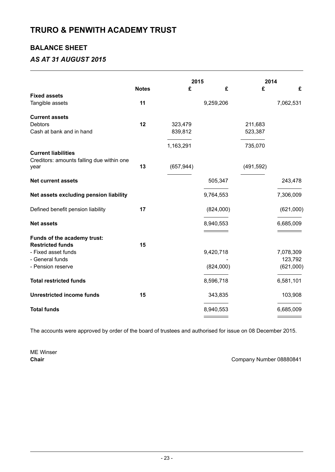### **BALANCE SHEET**

### *AS AT 31 AUGUST 2015*

|                                                   | 2015         |            |           | 2014       |           |
|---------------------------------------------------|--------------|------------|-----------|------------|-----------|
|                                                   | <b>Notes</b> | £          | £         | £          | £         |
| <b>Fixed assets</b>                               |              |            |           |            |           |
| Tangible assets                                   | 11           |            | 9,259,206 |            | 7,062,531 |
| <b>Current assets</b>                             |              |            |           |            |           |
| <b>Debtors</b>                                    | 12           | 323,479    |           | 211,683    |           |
| Cash at bank and in hand                          |              | 839,812    |           | 523,387    |           |
|                                                   |              | 1,163,291  |           | 735,070    |           |
| <b>Current liabilities</b>                        |              |            |           |            |           |
| Creditors: amounts falling due within one<br>year | 13           | (657, 944) |           | (491, 592) |           |
| <b>Net current assets</b>                         |              |            | 505,347   |            | 243,478   |
| Net assets excluding pension liability            |              |            | 9,764,553 |            | 7,306,009 |
| Defined benefit pension liability                 | 17           |            | (824,000) |            | (621,000) |
| <b>Net assets</b>                                 |              |            | 8,940,553 |            | 6,685,009 |
| Funds of the academy trust:                       |              |            |           |            |           |
| <b>Restricted funds</b>                           | 15           |            |           |            |           |
| - Fixed asset funds                               |              |            | 9,420,718 |            | 7,078,309 |
| - General funds                                   |              |            |           |            | 123,792   |
| - Pension reserve                                 |              |            | (824,000) |            | (621,000) |
| <b>Total restricted funds</b>                     |              |            | 8,596,718 |            | 6,581,101 |
| <b>Unrestricted income funds</b>                  | 15           |            | 343,835   |            | 103,908   |
| <b>Total funds</b>                                |              |            | 8,940,553 |            | 6,685,009 |
|                                                   |              |            |           |            |           |

The accounts were approved by order of the board of trustees and authorised for issue on 08 December 2015.

ME Winser

**Chair** Company Number 08880841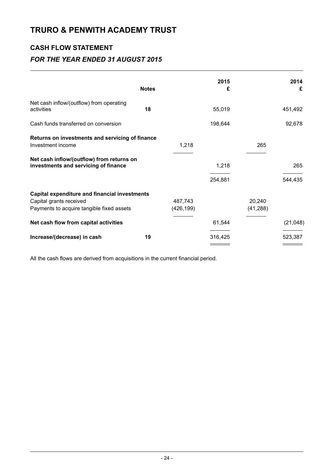### **CASH FLOW STATEMENT**

### *FOR THE YEAR ENDED 31 AUGUST 2015*

|                                                                                                                       | <b>Notes</b> |                       | 2015<br>£ |                     | 2014<br>£ |
|-----------------------------------------------------------------------------------------------------------------------|--------------|-----------------------|-----------|---------------------|-----------|
| Net cash inflow/(outflow) from operating<br>activities                                                                | 18           |                       | 55,019    |                     | 451,492   |
| Cash funds transferred on conversion                                                                                  |              |                       | 198,644   |                     | 92,678    |
| Returns on investments and servicing of finance<br>Investment income                                                  |              | 1,218                 |           | 265                 |           |
| Net cash inflow/(outflow) from returns on<br>investments and servicing of finance                                     |              |                       | 1,218     |                     | 265       |
|                                                                                                                       |              |                       | 254,881   |                     | 544,435   |
| Capital expenditure and financial investments<br>Capital grants received<br>Payments to acquire tangible fixed assets |              | 487,743<br>(426, 199) |           | 20,240<br>(41, 288) |           |
| Net cash flow from capital activities                                                                                 |              |                       | 61,544    |                     | (21, 048) |
| Increase/(decrease) in cash                                                                                           | 19           |                       | 316,425   |                     | 523,387   |

All the cash flows are derived from acquisitions in the current financial period.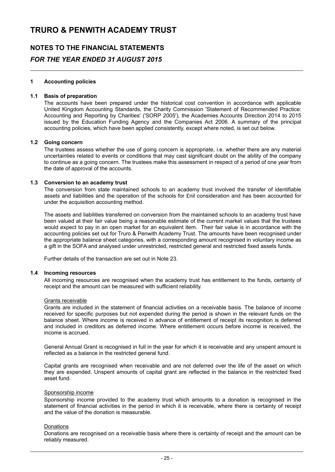# **NOTES TO THE FINANCIAL STATEMENTS** *FOR THE YEAR ENDED 31 AUGUST 2015*

### **1 Accounting policies**

### **1.1 Basis of preparation**

The accounts have been prepared under the historical cost convention in accordance with applicable United Kingdom Accounting Standards, the Charity Commission 'Statement of Recommended Practice: Accounting and Reporting by Charities' ('SORP 2005'), the Academies Accounts Direction 2014 to 2015 issued by the Education Funding Agency and the Companies Act 2006. A summary of the principal accounting policies, which have been applied consistently, except where noted, is set out below.

### **1.2 Going concern**

The trustees assess whether the use of going concern is appropriate, i.e. whether there are any material uncertainties related to events or conditions that may cast significant doubt on the ability of the company to continue as a going concern. The trustees make this assessment in respect of a period of one year from the date of approval of the accounts.

### **1.3 Conversion to an academy trust**

The conversion from state maintained schools to an academy trust involved the transfer of identifiable assets and liabilities and the operation of the schools for £nil consideration and has been accounted for under the acquisition accounting method.

The assets and liabilities transferred on conversion from the maintained schools to an academy trust have been valued at their fair value being a reasonable estimate of the current market values that the trustees would expect to pay in an open market for an equivalent item. Their fair value is in accordance with the accounting policies set out for Truro & Penwith Academy Trust. The amounts have been recognised under the appropriate balance sheet categories, with a corresponding amount recognised in voluntary income as a gift in the SOFA and analysed under unrestricted, restricted general and restricted fixed assets funds.

Further details of the transaction are set out in Note 23.

### **1.4 Incoming resources**

All incoming resources are recognised when the academy trust has entitlement to the funds, certainty of receipt and the amount can be measured with sufficient reliability.

### Grants receivable

Grants are included in the statement of financial activities on a receivable basis. The balance of income received for specific purposes but not expended during the period is shown in the relevant funds on the balance sheet. Where income is received in advance of entitlement of receipt its recognition is deferred and included in creditors as deferred income. Where entitlement occurs before income is received, the income is accrued.

General Annual Grant is recognised in full in the year for which it is receivable and any unspent amount is reflected as a balance in the restricted general fund.

Capital grants are recognised when receivable and are not deferred over the life of the asset on which they are expended. Unspent amounts of capital grant are reflected in the balance in the restricted fixed asset fund.

### Sponsorship income

Sponsorship income provided to the academy trust which amounts to a donation is recognised in the statement of financial activities in the period in which it is receivable, where there is certainty of receipt and the value of the donation is measurable.

### **Donations**

Donations are recognised on a receivable basis where there is certainty of receipt and the amount can be reliably measured.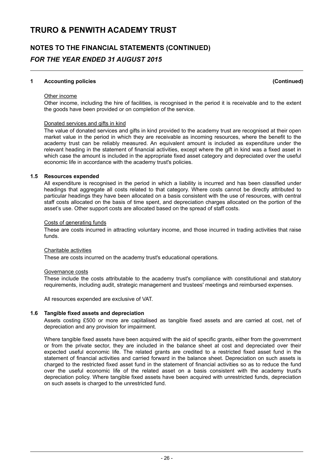# **NOTES TO THE FINANCIAL STATEMENTS (CONTINUED)** *FOR THE YEAR ENDED 31 AUGUST 2015*

### **1 Accounting policies (Continued)**

#### Other income

Other income, including the hire of facilities, is recognised in the period it is receivable and to the extent the goods have been provided or on completion of the service.

#### Donated services and gifts in kind

The value of donated services and gifts in kind provided to the academy trust are recognised at their open market value in the period in which they are receivable as incoming resources, where the benefit to the academy trust can be reliably measured. An equivalent amount is included as expenditure under the relevant heading in the statement of financial activities, except where the gift in kind was a fixed asset in which case the amount is included in the appropriate fixed asset category and depreciated over the useful economic life in accordance with the academy trust's policies.

### **1.5 Resources expended**

All expenditure is recognised in the period in which a liability is incurred and has been classified under headings that aggregate all costs related to that category. Where costs cannot be directly attributed to particular headings they have been allocated on a basis consistent with the use of resources, with central staff costs allocated on the basis of time spent, and depreciation charges allocated on the portion of the asset's use. Other support costs are allocated based on the spread of staff costs.

#### Costs of generating funds

These are costs incurred in attracting voluntary income, and those incurred in trading activities that raise funds.

#### Charitable activities

These are costs incurred on the academy trust's educational operations.

#### Governance costs

These include the costs attributable to the academy trust's compliance with constitutional and statutory requirements, including audit, strategic management and trustees' meetings and reimbursed expenses.

All resources expended are exclusive of VAT.

### **1.6 Tangible fixed assets and depreciation**

Assets costing £500 or more are capitalised as tangible fixed assets and are carried at cost, net of depreciation and any provision for impairment.

Where tangible fixed assets have been acquired with the aid of specific grants, either from the government or from the private sector, they are included in the balance sheet at cost and depreciated over their expected useful economic life. The related grants are credited to a restricted fixed asset fund in the statement of financial activities and carried forward in the balance sheet. Depreciation on such assets is charged to the restricted fixed asset fund in the statement of financial activities so as to reduce the fund over the useful economic life of the related asset on a basis consistent with the academy trust's depreciation policy. Where tangible fixed assets have been acquired with unrestricted funds, depreciation on such assets is charged to the unrestricted fund.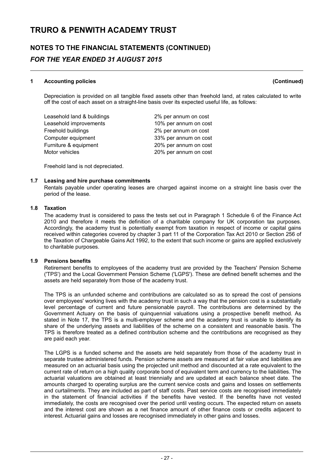# **NOTES TO THE FINANCIAL STATEMENTS (CONTINUED)** *FOR THE YEAR ENDED 31 AUGUST 2015*

### **1 Accounting policies (Continued)**

Depreciation is provided on all tangible fixed assets other than freehold land, at rates calculated to write off the cost of each asset on a straight-line basis over its expected useful life, as follows:

| Leasehold land & buildings | 2% per annum on cost  |
|----------------------------|-----------------------|
| Leasehold improvements     | 10% per annum on cost |
| Freehold buildings         | 2% per annum on cost  |
| Computer equipment         | 33% per annum on cost |
| Furniture & equipment      | 20% per annum on cost |
| Motor vehicles             | 20% per annum on cost |

Freehold land is not depreciated.

### **1.7 Leasing and hire purchase commitments**

Rentals payable under operating leases are charged against income on a straight line basis over the period of the lease.

### **1.8 Taxation**

The academy trust is considered to pass the tests set out in Paragraph 1 Schedule 6 of the Finance Act 2010 and therefore it meets the definition of a charitable company for UK corporation tax purposes. Accordingly, the academy trust is potentially exempt from taxation in respect of income or capital gains received within categories covered by chapter 3 part 11 of the Corporation Tax Act 2010 or Section 256 of the Taxation of Chargeable Gains Act 1992, to the extent that such income or gains are applied exclusively to charitable purposes.

### **1.9 Pensions benefits**

Retirement benefits to employees of the academy trust are provided by the Teachers' Pension Scheme ('TPS') and the Local Government Pension Scheme ('LGPS'). These are defined benefit schemes and the assets are held separately from those of the academy trust.

The TPS is an unfunded scheme and contributions are calculated so as to spread the cost of pensions over employees' working lives with the academy trust in such a way that the pension cost is a substantially level percentage of current and future pensionable payroll. The contributions are determined by the Government Actuary on the basis of quinquennial valuations using a prospective benefit method. As stated in Note 17, the TPS is a multi-employer scheme and the academy trust is unable to identify its share of the underlying assets and liabilities of the scheme on a consistent and reasonable basis. The TPS is therefore treated as a defined contribution scheme and the contributions are recognised as they are paid each year.

The LGPS is a funded scheme and the assets are held separately from those of the academy trust in separate trustee administered funds. Pension scheme assets are measured at fair value and liabilities are measured on an actuarial basis using the projected unit method and discounted at a rate equivalent to the current rate of return on a high quality corporate bond of equivalent term and currency to the liabilities. The actuarial valuations are obtained at least triennially and are updated at each balance sheet date. The amounts charged to operating surplus are the current service costs and gains and losses on settlements and curtailments. They are included as part of staff costs. Past service costs are recognised immediately in the statement of financial activities if the benefits have vested. If the benefits have not vested immediately, the costs are recognised over the period until vesting occurs. The expected return on assets and the interest cost are shown as a net finance amount of other finance costs or credits adjacent to interest. Actuarial gains and losses are recognised immediately in other gains and losses.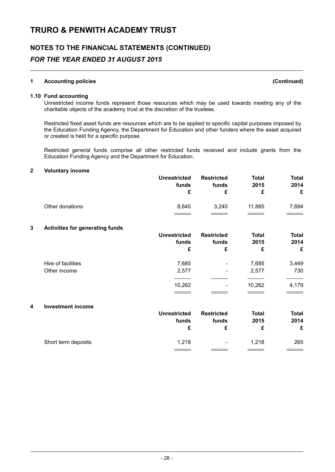# **NOTES TO THE FINANCIAL STATEMENTS (CONTINUED)** *FOR THE YEAR ENDED 31 AUGUST 2015*

### **1 Accounting policies (Continued)**

### **1.10 Fund accounting**

Unrestricted income funds represent those resources which may be used towards meeting any of the charitable objects of the academy trust at the discretion of the trustees.

Restricted fixed asset funds are resources which are to be applied to specific capital purposes imposed by the Education Funding Agency, the Department for Education and other funders where the asset acquired or created is held for a specific purpose.

Restricted general funds comprise all other restricted funds received and include grants from the Education Funding Agency and the Department for Education.

### **2 Voluntary income**

|                 | <b>Unrestricted</b><br>funds | <b>Restricted</b><br>funds | <b>Total</b><br>2015 | Total<br>2014<br>£ |
|-----------------|------------------------------|----------------------------|----------------------|--------------------|
| Other donations | 8,645                        | 3.240                      | 11.885               | 7,694              |

### **3 Activities for generating funds**

|                    | <b>Unrestricted</b><br>funds<br>£ | <b>Restricted</b><br>funds<br>£ | <b>Total</b><br>2015<br>£ | <b>Total</b><br>2014<br>£ |
|--------------------|-----------------------------------|---------------------------------|---------------------------|---------------------------|
| Hire of facilities | 7,685                             | $\overline{\phantom{a}}$        | 7,685                     | 3,449                     |
| Other income       | 2,577                             | ٠                               | 2,577                     | 730                       |
|                    | 10,262                            | ٠                               | 10,262                    | 4,179                     |

#### **4 Investment income**

| <b>Unrestricted</b><br>funds | <b>Restricted</b><br>funds | <b>Total</b><br>2015 | <b>Total</b><br>2014<br>£ |
|------------------------------|----------------------------|----------------------|---------------------------|
| 1.218                        | $\overline{\phantom{a}}$   | 1.218                | 265<br><u>records</u>     |
|                              |                            |                      |                           |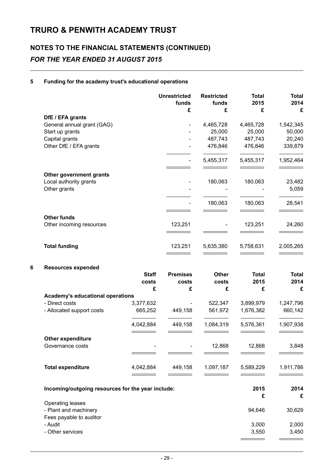# **NOTES TO THE FINANCIAL STATEMENTS (CONTINUED)** *FOR THE YEAR ENDED 31 AUGUST 2015*

### **5 Funding for the academy trust's educational operations**

|   |                                                   |              | <b>Unrestricted</b><br>funds | <b>Restricted</b><br>funds | <b>Total</b><br>2015 | <b>Total</b><br>2014 |
|---|---------------------------------------------------|--------------|------------------------------|----------------------------|----------------------|----------------------|
|   |                                                   |              | £                            | £                          | £                    | £                    |
|   | DfE / EFA grants<br>General annual grant (GAG)    |              |                              | 4,465,728                  | 4,465,728            | 1,542,345            |
|   | Start up grants                                   |              |                              | 25,000                     | 25,000               | 50,000               |
|   | Capital grants                                    |              |                              | 487,743                    | 487,743              | 20,240               |
|   | Other DfE / EFA grants                            |              |                              | 476,846                    | 476,846              | 339,879              |
|   |                                                   |              | $\overline{\phantom{0}}$     | 5,455,317                  | 5,455,317            | 1,952,464            |
|   | Other government grants                           |              |                              |                            |                      |                      |
|   | Local authority grants                            |              |                              | 180,063                    | 180,063              | 23,482               |
|   | Other grants                                      |              |                              |                            |                      | 5,059                |
|   |                                                   |              |                              | 180,063                    | 180,063              | 28,541               |
|   | <b>Other funds</b>                                |              |                              |                            |                      |                      |
|   | Other incoming resources                          |              | 123,251                      |                            | 123,251              | 24,260               |
|   | <b>Total funding</b>                              |              | 123,251                      | 5,635,380                  | 5,758,631            | 2,005,265            |
| 6 | <b>Resources expended</b>                         |              |                              |                            |                      |                      |
|   |                                                   | <b>Staff</b> | <b>Premises</b>              | <b>Other</b>               | <b>Total</b>         | <b>Total</b>         |
|   |                                                   | costs        | costs                        | costs                      | 2015                 | 2014                 |
|   |                                                   | £            | £                            | £                          | £                    | £                    |
|   | <b>Academy's educational operations</b>           |              |                              |                            |                      |                      |
|   | - Direct costs                                    | 3,377,632    |                              | 522,347                    | 3,899,979            | 1,247,796            |
|   | - Allocated support costs                         | 665,252      | 449,158                      | 561,972                    | 1,676,382            | 660,142              |
|   |                                                   | 4,042,884    | 449,158                      | 1,084,319                  | 5,576,361            | 1,907,938            |
|   | Other expenditure                                 |              |                              |                            |                      |                      |
|   | Governance costs                                  |              |                              | 12,868                     | 12,868               | 3,848                |
|   |                                                   |              |                              |                            |                      |                      |
|   | <b>Total expenditure</b>                          | 4,042,884    | 449,158                      | 1,097,187                  | 5,589,229            | 1,911,786            |
|   | Incoming/outgoing resources for the year include: | 2015<br>£    | 2014<br>£                    |                            |                      |                      |
|   | Operating leases                                  |              |                              |                            |                      |                      |
|   | - Plant and machinery                             |              |                              |                            | 94,646               | 30,629               |
|   | Fees payable to auditor                           |              |                              |                            |                      |                      |
|   | - Audit                                           |              |                              |                            | 3,000                | 2,000                |
|   | - Other services                                  |              |                              |                            | 3,550                | 3,450                |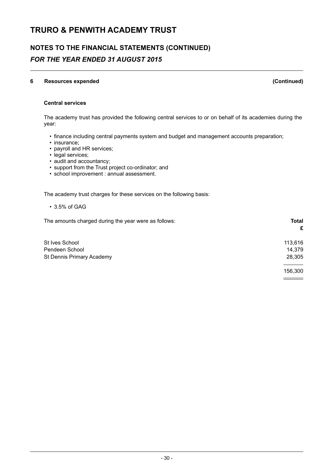# **NOTES TO THE FINANCIAL STATEMENTS (CONTINUED)** *FOR THE YEAR ENDED 31 AUGUST 2015*

### **6 Resources expended (Continued)**

 $\equiv$   $\equiv$ 

### **Central services**

The academy trust has provided the following central services to or on behalf of its academies during the year:

- finance including central payments system and budget and management accounts preparation;
- insurance;
- payroll and HR services;
- legal services;
- audit and accountancy;
- support from the Trust project co-ordinator; and
- school improvement : annual assessment.

The academy trust charges for these services on the following basis:

• 3.5% of GAG

The amounts charged during the year were as follows: **Total**

|                           | £       |
|---------------------------|---------|
| St Ives School            | 113,616 |
| Pendeen School            | 14,379  |
| St Dennis Primary Academy | 28,305  |
|                           | 156,300 |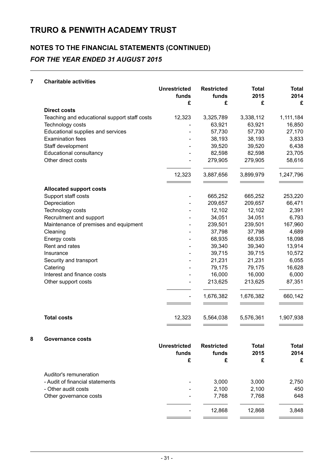# **NOTES TO THE FINANCIAL STATEMENTS (CONTINUED)** *FOR THE YEAR ENDED 31 AUGUST 2015*

### **7 Charitable activities**

|                                              | <b>Unrestricted</b><br>funds | <b>Restricted</b><br>funds | <b>Total</b><br>2015 | <b>Total</b><br>2014 |
|----------------------------------------------|------------------------------|----------------------------|----------------------|----------------------|
|                                              | £                            | £                          | £                    | £                    |
| <b>Direct costs</b>                          |                              |                            |                      |                      |
| Teaching and educational support staff costs | 12,323                       | 3,325,789                  | 3,338,112            | 1,111,184            |
| Technology costs                             |                              | 63,921                     | 63,921               | 16,850               |
| Educational supplies and services            |                              | 57,730                     | 57,730               | 27,170               |
| <b>Examination fees</b>                      |                              | 38,193                     | 38,193               | 3,833                |
| Staff development                            |                              | 39,520                     | 39,520               | 6,438                |
| Educational consultancy                      |                              | 82,598                     | 82,598               | 23,705               |
| Other direct costs                           |                              | 279,905                    | 279,905              | 58,616               |
|                                              | 12,323                       | 3,887,656                  | 3,899,979            | 1,247,796            |
| <b>Allocated support costs</b>               |                              |                            |                      |                      |
| Support staff costs                          |                              | 665,252                    | 665,252              | 253,220              |
| Depreciation                                 |                              | 209,657                    | 209,657              | 66,471               |
| Technology costs                             |                              | 12,102                     | 12,102               | 2,391                |
| Recruitment and support                      |                              | 34,051                     | 34,051               | 6,793                |
| Maintenance of premises and equipment        |                              | 239,501                    | 239,501              | 167,960              |
| Cleaning                                     |                              | 37,798                     | 37,798               | 4,689                |
| Energy costs                                 |                              | 68,935                     | 68,935               | 18,098               |
| Rent and rates                               |                              | 39,340                     | 39,340               | 13,914               |
| Insurance                                    |                              | 39,715                     | 39,715               | 10,572               |
| Security and transport                       |                              | 21,231                     | 21,231               | 6,055                |
| Catering                                     |                              | 79,175                     | 79,175               | 16,628               |
| Interest and finance costs                   |                              | 16,000                     | 16,000               | 6,000                |
| Other support costs                          |                              | 213,625                    | 213,625              | 87,351               |
|                                              | $\qquad \qquad \blacksquare$ | 1,676,382                  | 1,676,382            | 660,142              |
| <b>Total costs</b>                           | 12,323                       | 5,564,038                  | 5,576,361            | 1,907,938            |
| Governance costs                             |                              |                            |                      |                      |
|                                              | <b>Unrestricted</b>          | <b>Restricted</b>          | <b>Total</b>         | <b>Total</b>         |
|                                              | funds                        | funds                      | 2015                 | 2014                 |
|                                              | £                            | £                          | £                    | £                    |
| Auditor's remuneration                       |                              |                            |                      |                      |
| - Audit of financial statements              |                              | 3,000                      | 3,000                | 2,750                |

- Other audit costs - 2,100 2,100 450 Other governance costs - 7,768 7,768 7,768 7,768 7,768 7,768 7,768 7,768 7,768 7,768 7,768 7,768 7,768 7,768 7,768 7,768 7,768 7,768 7,768 7,768 7,768 7,768 7,768 7,768 7,768 7,768 7,768 7,768 7,768 7,768 7,768 7,768 7,768

L.

- 12,868 12,868 3,848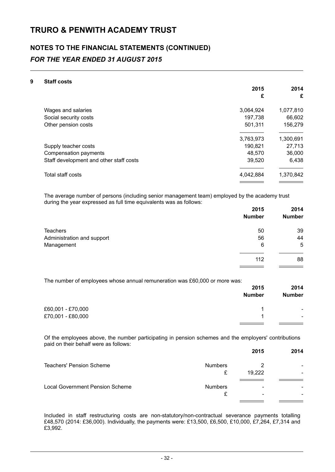# **NOTES TO THE FINANCIAL STATEMENTS (CONTINUED)** *FOR THE YEAR ENDED 31 AUGUST 2015*

### **9 Staff costs**

|                                         | 2015      | 2014      |
|-----------------------------------------|-----------|-----------|
|                                         | £         | £         |
| Wages and salaries                      | 3,064,924 | 1,077,810 |
| Social security costs                   | 197,738   | 66,602    |
| Other pension costs                     | 501.311   | 156,279   |
|                                         | 3,763,973 | 1,300,691 |
| Supply teacher costs                    | 190,821   | 27,713    |
| Compensation payments                   | 48,570    | 36,000    |
| Staff development and other staff costs | 39,520    | 6,438     |
| Total staff costs                       | 4,042,884 | 1,370,842 |
|                                         |           |           |

The average number of persons (including senior management team) employed by the academy trust during the year expressed as full time equivalents was as follows:

|                            | 2015<br><b>Number</b> | 2014<br><b>Number</b> |
|----------------------------|-----------------------|-----------------------|
| <b>Teachers</b>            | 50                    | 39                    |
| Administration and support | 56                    | 44                    |
| Management                 | 6                     | 5                     |
|                            | 112                   | 88                    |
|                            |                       |                       |

The number of employees whose annual remuneration was £60,000 or more was:

| <b>Number</b><br>£60,001 - £70,000<br>£70,001 - £80,000 | 2015 | 2014                     |
|---------------------------------------------------------|------|--------------------------|
|                                                         |      | <b>Number</b>            |
|                                                         |      | $\overline{\phantom{0}}$ |
|                                                         |      | $\overline{\phantom{0}}$ |

Of the employees above, the number participating in pension schemes and the employers' contributions paid on their behalf were as follows:

|                | 2015   | 2014 |
|----------------|--------|------|
| <b>Numbers</b> |        | -    |
| £              | 19,222 |      |
| <b>Numbers</b> | -      |      |
| £              | ۰      |      |
|                |        |      |

Included in staff restructuring costs are non-statutory/non-contractual severance payments totalling £48,570 (2014: £36,000). Individually, the payments were: £13,500, £6,500, £10,000, £7,264, £7,314 and £3,992.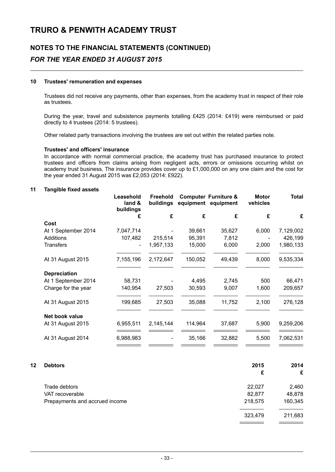# **NOTES TO THE FINANCIAL STATEMENTS (CONTINUED)** *FOR THE YEAR ENDED 31 AUGUST 2015*

### **10 Trustees' remuneration and expenses**

Trustees did not receive any payments, other than expenses, from the academy trust in respect of their role as trustees.

During the year, travel and subsistence payments totalling £425 (2014: £419) were reimbursed or paid directly to 4 trustees (2014: 5 trustees).

Other related party transactions involving the trustees are set out within the related parties note.

### **Trustees' and officers' insurance**

In accordance with normal commercial practice, the academy trust has purchased insurance to protect trustees and officers from claims arising from negligent acts, errors or omissions occurring whilst on academy trust business. The insurance provides cover up to £1,000,000 on any one claim and the cost for the year ended 31 August 2015 was £2,053 (2014: £922).

### **11 Tangible fixed assets**

|                     | Leasehold<br>land &<br>buildings | Freehold<br>buildings | equipment | <b>Computer Furniture &amp;</b><br>equipment | <b>Motor</b><br>vehicles | <b>Total</b> |
|---------------------|----------------------------------|-----------------------|-----------|----------------------------------------------|--------------------------|--------------|
|                     | £                                | £                     | £         | £                                            | £                        | £            |
| Cost                |                                  |                       |           |                                              |                          |              |
| At 1 September 2014 | 7,047,714                        |                       | 39,661    | 35,627                                       | 6,000                    | 7,129,002    |
| Additions           | 107,482                          | 215,514               | 95,391    | 7,812                                        |                          | 426,199      |
| <b>Transfers</b>    |                                  | 1,957,133             | 15,000    | 6,000                                        | 2,000                    | 1,980,133    |
| At 31 August 2015   | 7,155,196                        | 2,172,647             | 150,052   | 49,439                                       | 8,000                    | 9,535,334    |
| <b>Depreciation</b> |                                  |                       |           |                                              |                          |              |
| At 1 September 2014 | 58,731                           |                       | 4,495     | 2,745                                        | 500                      | 66,471       |
| Charge for the year | 140,954                          | 27,503                | 30,593    | 9,007                                        | 1,600                    | 209,657      |
| At 31 August 2015   | 199,685                          | 27,503                | 35,088    | 11,752                                       | 2,100                    | 276,128      |
| Net book value      |                                  |                       |           |                                              |                          |              |
| At 31 August 2015   | 6,955,511                        | 2,145,144             | 114,964   | 37,687                                       | 5,900                    | 9,259,206    |
| At 31 August 2014   | 6,988,983                        |                       | 35,166    | 32,882                                       | 5,500                    | 7,062,531    |
|                     |                                  |                       |           |                                              |                          |              |

| <b>Debtors</b>                 | 2015    | 2014    |
|--------------------------------|---------|---------|
|                                | £       | £       |
| Trade debtors                  | 22,027  | 2,460   |
| VAT recoverable                | 82,877  | 48,878  |
| Prepayments and accrued income | 218,575 | 160,345 |
|                                | 323,479 | 211,683 |
|                                |         |         |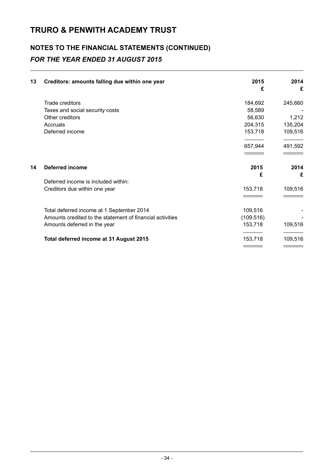# **NOTES TO THE FINANCIAL STATEMENTS (CONTINUED)** *FOR THE YEAR ENDED 31 AUGUST 2015*

| 13 | Creditors: amounts falling due within one year            | 2015<br>£  | 2014<br>£ |
|----|-----------------------------------------------------------|------------|-----------|
|    | Trade creditors                                           | 184,692    | 245,660   |
|    | Taxes and social security costs                           | 58,589     |           |
|    | Other creditors                                           | 56,630     | 1,212     |
|    | Accruals                                                  | 204,315    | 135,204   |
|    | Deferred income                                           | 153,718    | 109,516   |
|    |                                                           | 657,944    | 491,592   |
| 14 | <b>Deferred income</b>                                    | 2015       | 2014      |
|    |                                                           | £          | £         |
|    | Deferred income is included within:                       |            |           |
|    | Creditors due within one year                             | 153,718    | 109,516   |
|    |                                                           |            |           |
|    | Total deferred income at 1 September 2014                 | 109,516    |           |
|    | Amounts credited to the statement of financial activities | (109, 516) |           |
|    | Amounts deferred in the year                              | 153,718    | 109,516   |
|    | Total deferred income at 31 August 2015                   | 153,718    | 109,516   |
|    |                                                           |            |           |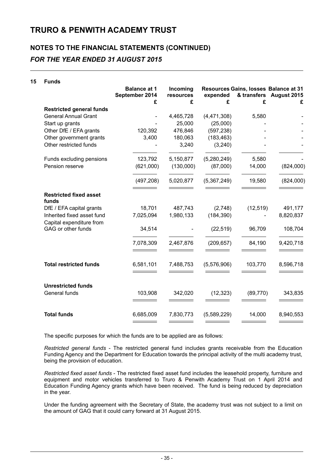### **NOTES TO THE FINANCIAL STATEMENTS (CONTINUED)** *FOR THE YEAR ENDED 31 AUGUST 2015*

### **15 Funds**

|                                                        | <b>Balance at 1</b><br>September 2014<br>£ | Incoming<br>resources<br>£ | expended<br>£ | & transfers<br>£ | Resources Gains, losses Balance at 31<br>August 2015<br>£ |
|--------------------------------------------------------|--------------------------------------------|----------------------------|---------------|------------------|-----------------------------------------------------------|
| <b>Restricted general funds</b>                        |                                            |                            |               |                  |                                                           |
| <b>General Annual Grant</b>                            |                                            | 4,465,728                  | (4, 471, 308) | 5,580            |                                                           |
| Start up grants                                        |                                            | 25,000                     | (25,000)      |                  |                                                           |
| Other DfE / EFA grants                                 | 120,392                                    | 476,846                    | (597, 238)    |                  |                                                           |
| Other government grants                                | 3,400                                      | 180,063                    | (183, 463)    |                  |                                                           |
| Other restricted funds                                 |                                            | 3,240                      | (3,240)       |                  |                                                           |
| Funds excluding pensions                               | 123,792                                    | 5,150,877                  | (5,280,249)   | 5,580            |                                                           |
| Pension reserve                                        | (621,000)                                  | (130,000)                  | (87,000)      | 14,000           | (824,000)                                                 |
|                                                        | (497, 208)                                 | 5,020,877                  | (5,367,249)   | 19,580           | (824,000)                                                 |
| <b>Restricted fixed asset</b><br>funds                 |                                            |                            |               |                  |                                                           |
| DfE / EFA capital grants                               | 18,701                                     | 487,743                    | (2,748)       | (12, 519)        | 491,177                                                   |
| Inherited fixed asset fund<br>Capital expenditure from | 7,025,094                                  | 1,980,133                  | (184, 390)    |                  | 8,820,837                                                 |
| GAG or other funds                                     | 34,514                                     |                            | (22, 519)     | 96,709           | 108,704                                                   |
|                                                        | 7,078,309                                  | 2,467,876                  | (209, 657)    | 84,190           | 9,420,718                                                 |
| <b>Total restricted funds</b>                          | 6,581,101                                  | 7,488,753                  | (5,576,906)   | 103,770          | 8,596,718                                                 |
| <b>Unrestricted funds</b><br>General funds             | 103,908                                    | 342,020                    | (12, 323)     | (89, 770)        | 343,835                                                   |
| <b>Total funds</b>                                     | 6,685,009                                  | 7,830,773                  | (5,589,229)   | 14,000           | 8,940,553                                                 |

The specific purposes for which the funds are to be applied are as follows:

*Restricted general funds* - The restricted general fund includes grants receivable from the Education Funding Agency and the Department for Education towards the principal activity of the multi academy trust, being the provision of education.

*Restricted fixed asset funds* - The restricted fixed asset fund includes the leasehold property, furniture and equipment and motor vehicles transferred to Truro & Penwith Academy Trust on 1 April 2014 and Education Funding Agency grants which have been received. The fund is being reduced by depreciation in the year.

Under the funding agreement with the Secretary of State, the academy trust was not subject to a limit on the amount of GAG that it could carry forward at 31 August 2015.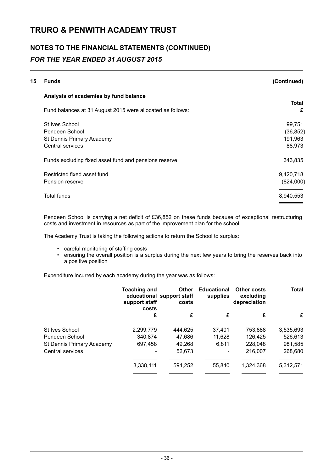# **NOTES TO THE FINANCIAL STATEMENTS (CONTINUED)** *FOR THE YEAR ENDED 31 AUGUST 2015*

| 15 | <b>Funds</b>                                               | (Continued)       |
|----|------------------------------------------------------------|-------------------|
|    | Analysis of academies by fund balance                      |                   |
|    | Fund balances at 31 August 2015 were allocated as follows: | <b>Total</b><br>£ |
|    | St Ives School                                             | 99,751            |
|    | Pendeen School                                             | (36, 852)         |
|    | St Dennis Primary Academy                                  | 191,963           |
|    | Central services                                           | 88,973            |
|    | Funds excluding fixed asset fund and pensions reserve      | 343,835           |
|    | Restricted fixed asset fund                                | 9,420,718         |
|    | Pension reserve                                            | (824,000)         |
|    | <b>Total funds</b>                                         | 8,940,553         |

Pendeen School is carrying a net deficit of £36,852 on these funds because of exceptional restructuring costs and investment in resources as part of the improvement plan for the school.

The Academy Trust is taking the following actions to return the School to surplus:

- careful monitoring of staffing costs
- ensuring the overall position is a surplus during the next few years to bring the reserves back into a positive position

Expenditure incurred by each academy during the year was as follows:

| <b>Teaching and</b><br>support staff<br>costs | <b>Other</b><br>costs | <b>Educational</b><br>supplies | <b>Other costs</b><br>excluding<br>depreciation | <b>Total</b> |
|-----------------------------------------------|-----------------------|--------------------------------|-------------------------------------------------|--------------|
| £                                             | £                     | £                              | £                                               | £            |
| 2,299,779                                     | 444,625               | 37.401                         | 753,888                                         | 3,535,693    |
| 340,874                                       | 47,686                | 11,628                         | 126,425                                         | 526,613      |
| 697,458                                       | 49,268                | 6.811                          | 228,048                                         | 981,585      |
|                                               | 52,673                |                                | 216,007                                         | 268,680      |
| 3,338,111                                     | 594.252               | 55,840                         | 1,324,368                                       | 5,312,571    |
|                                               |                       | educational support staff      |                                                 |              |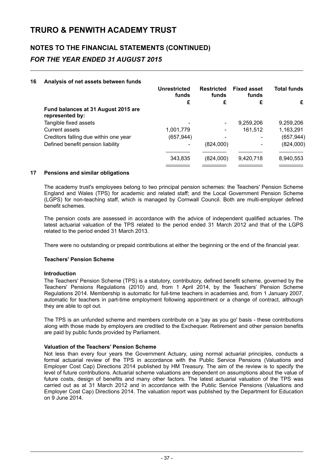# **NOTES TO THE FINANCIAL STATEMENTS (CONTINUED)** *FOR THE YEAR ENDED 31 AUGUST 2015*

### **16 Analysis of net assets between funds**

|                                                        | Unrestricted<br>funds | <b>Restricted</b><br>funds | <b>Fixed asset</b><br>funds | <b>Total funds</b> |
|--------------------------------------------------------|-----------------------|----------------------------|-----------------------------|--------------------|
|                                                        | £                     | £                          | £                           | £                  |
| Fund balances at 31 August 2015 are<br>represented by: |                       |                            |                             |                    |
| Tangible fixed assets                                  |                       | $\overline{\phantom{a}}$   | 9,259,206                   | 9,259,206          |
| <b>Current assets</b>                                  | 1,001,779             | $\overline{\phantom{a}}$   | 161,512                     | 1,163,291          |
| Creditors falling due within one year                  | (657, 944)            |                            | ۰                           | (657, 944)         |
| Defined benefit pension liability                      |                       | (824,000)                  |                             | (824,000)          |
|                                                        | 343,835               | (824,000)                  | 9,420,718                   | 8,940,553          |
|                                                        |                       |                            |                             |                    |

### **17 Pensions and similar obligations**

The academy trust's employees belong to two principal pension schemes: the Teachers' Pension Scheme England and Wales (TPS) for academic and related staff; and the Local Government Pension Scheme (LGPS) for non-teaching staff, which is managed by Cornwall Council. Both are multi-employer defined benefit schemes.

The pension costs are assessed in accordance with the advice of independent qualified actuaries. The latest actuarial valuation of the TPS related to the period ended 31 March 2012 and that of the LGPS related to the period ended 31 March 2013.

There were no outstanding or prepaid contributions at either the beginning or the end of the financial year.

### **Teachers' Pension Scheme**

### **Introduction**

The Teachers' Pension Scheme (TPS) is a statutory, contributory, defined benefit scheme, governed by the Teachers' Pensions Regulations (2010) and, from 1 April 2014, by the Teachers' Pension Scheme Regulations 2014. Membership is automatic for full-time teachers in academies and, from 1 January 2007, automatic for teachers in part-time employment following appointment or a change of contract, although they are able to opt out.

The TPS is an unfunded scheme and members contribute on a 'pay as you go' basis - these contributions along with those made by employers are credited to the Exchequer. Retirement and other pension benefits are paid by public funds provided by Parliament.

### **Valuation of the Teachers' Pension Scheme**

Not less than every four years the Government Actuary, using normal actuarial principles, conducts a formal actuarial review of the TPS in accordance with the Public Service Pensions (Valuations and Employer Cost Cap) Directions 2014 published by HM Treasury. The aim of the review is to specify the level of future contributions. Actuarial scheme valuations are dependent on assumptions about the value of future costs, design of benefits and many other factors. The latest actuarial valuation of the TPS was carried out as at 31 March 2012 and in accordance with the Public Service Pensions (Valuations and Employer Cost Cap) Directions 2014. The valuation report was published by the Department for Education on 9 June 2014.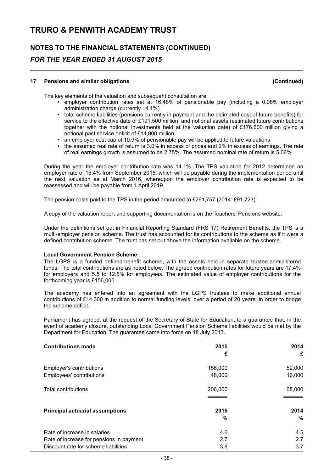# **NOTES TO THE FINANCIAL STATEMENTS (CONTINUED)** *FOR THE YEAR ENDED 31 AUGUST 2015*

### **17 Pensions and similar obligations (Continued)**

The key elements of the valuation and subsequent consultation are:

- employer contribution rates set at 16.48% of pensionable pay (including a 0.08% employer administration charge (currently 14.1%)
- total scheme liabilities (pensions currently in payment and the estimated cost of future benefits) for service to the effective date of £191,500 million, and notional assets (estimated future contributions together with the notional investments held at the valuation date) of £176,600 million giving a notional past service deficit of £14,900 million
- an employer cost cap of 10.9% of pensionable pay will be applied to future valuations
- the assumed real rate of return is 3.0% in excess of prices and 2% in excess of earnings. The rate of real earnings growth is assumed to be 2.75%. The assumed nominal rate of return is 5.06%

During the year the employer contribution rate was 14.1%. The TPS valuation for 2012 determined an employer rate of 16.4% from September 2015, which will be payable during the implementation period until the next valuation as at March 2016, whereupon the employer contribution rate is expected to be reassessed and will be payable from 1 April 2019.

The pension costs paid to the TPS in the period amounted to £261,757 (2014: £91,723).

A copy of the valuation report and supporting documentation is on the Teachers' Pensions website.

Under the definitions set out in Financial Reporting Standard (FRS 17) Retirement Benefits, the TPS is a multi-employer pension scheme. The trust has accounted for its contributions to the scheme as if it were a defined contribution scheme. The trust has set out above the information available on the scheme.

### **Local Government Pension Scheme**

The LGPS is a funded defined-benefit scheme, with the assets held in separate trustee-administered funds. The total contributions are as noted below. The agreed contribution rates for future years are 17.4% for employers and 5.5 to 12.5% for employees. The estimated value of employer contributions for the forthcoming year is £156,000.

The academy has entered into an agreement with the LGPS trustees to make additional annual contributions of £14,300 in addition to normal funding levels, over a period of 20 years, in order to bridge the scheme deficit.

Parliament has agreed, at the request of the Secretary of State for Education, to a guarantee that, in the event of academy closure, outstanding Local Government Pension Scheme liabilities would be met by the Department for Education. The guarantee came into force on 18 July 2013.

| <b>Contributions made</b>                | 2015    | 2014   |
|------------------------------------------|---------|--------|
|                                          | £       | £      |
| Employer's contributions                 | 158,000 | 52,000 |
| Employees' contributions                 | 48,000  | 16,000 |
|                                          |         |        |
| <b>Total contributions</b>               | 206,000 | 68,000 |
|                                          |         |        |
| <b>Principal actuarial assumptions</b>   | 2015    | 2014   |
|                                          | %       | %      |
| Rate of increase in salaries             | 4.6     | 4.5    |
| Rate of increase for pensions in payment | 2.7     | 2.7    |
| Discount rate for scheme liabilities     | 3.8     | 3.7    |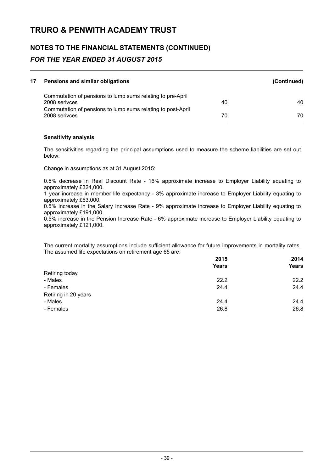# **NOTES TO THE FINANCIAL STATEMENTS (CONTINUED)** *FOR THE YEAR ENDED 31 AUGUST 2015*

| 17 | Pensions and similar obligations                                             |    | (Continued) |
|----|------------------------------------------------------------------------------|----|-------------|
|    | Commutation of pensions to lump sums relating to pre-April<br>2008 serivces  | 40 | 40          |
|    | Commutation of pensions to lump sums relating to post-April<br>2008 serivces | 70 | 70          |
|    |                                                                              |    |             |

### **Sensitivity analysis**

The sensitivities regarding the principal assumptions used to measure the scheme liabilities are set out below:

Change in assumptions as at 31 August 2015:

0.5% decrease in Real Discount Rate - 16% approximate increase to Employer Liability equating to approximately £324,000.

1 year increase in member life expectancy - 3% approximate increase to Employer Liability equating to approximately £63,000.

0.5% increase in the Salary Increase Rate - 9% approximate increase to Employer Liability equating to approximately £191,000.

0.5% increase in the Pension Increase Rate - 6% approximate increase to Employer Liability equating to approximately £121,000.

The current mortality assumptions include sufficient allowance for future improvements in mortality rates. The assumed life expectations on retirement age 65 are:

|                      | 2015         | 2014         |
|----------------------|--------------|--------------|
|                      | <b>Years</b> | <b>Years</b> |
| Retiring today       |              |              |
| - Males              | 22.2         | 22.2         |
| - Females            | 24.4         | 24.4         |
| Retiring in 20 years |              |              |
| - Males              | 24.4         | 24.4         |
| - Females            | 26.8         | 26.8         |
|                      |              | - 1          |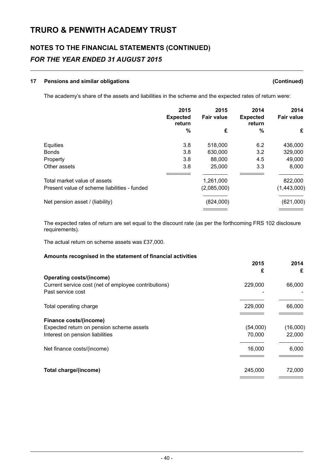# **NOTES TO THE FINANCIAL STATEMENTS (CONTINUED)** *FOR THE YEAR ENDED 31 AUGUST 2015*

### **17 Pensions and similar obligations (Continued)**

The academy's share of the assets and liabilities in the scheme and the expected rates of return were:

|                                              | 2015<br><b>Expected</b><br>return | 2015<br><b>Fair value</b> | 2014<br><b>Expected</b><br>return | 2014<br><b>Fair value</b> |
|----------------------------------------------|-----------------------------------|---------------------------|-----------------------------------|---------------------------|
|                                              | %                                 | £                         | $\%$                              | £                         |
| Equities                                     | 3.8                               | 518,000                   | 6.2                               | 436,000                   |
| <b>Bonds</b>                                 | 3.8                               | 630,000                   | 3.2                               | 329,000                   |
| Property                                     | 3.8                               | 88,000                    | 4.5                               | 49,000                    |
| Other assets                                 | 3.8                               | 25,000                    | 3.3                               | 8,000                     |
| Total market value of assets                 |                                   | 1,261,000                 |                                   | 822,000                   |
| Present value of scheme liabilities - funded |                                   | (2,085,000)               |                                   | (1,443,000)               |
| Net pension asset / (liability)              |                                   | (824,000)                 |                                   | (621,000)                 |

The expected rates of return are set equal to the discount rate (as per the forthcoming FRS 102 disclosure requirements).

The actual return on scheme assets was £37,000.

### **Amounts recognised in the statement of financial activities**

|                                                      | 2015     | 2014     |
|------------------------------------------------------|----------|----------|
| <b>Operating costs/(income)</b>                      | £        | £        |
| Current service cost (net of employee contributions) | 229,000  | 66,000   |
| Past service cost                                    |          |          |
| Total operating charge                               | 229,000  | 66,000   |
| Finance costs/(income)                               |          |          |
| Expected return on pension scheme assets             | (54,000) | (16,000) |
| Interest on pension liabilities                      | 70,000   | 22,000   |
| Net finance costs/(income)                           | 16,000   | 6,000    |
|                                                      |          |          |
| Total charge/(income)                                | 245,000  | 72,000   |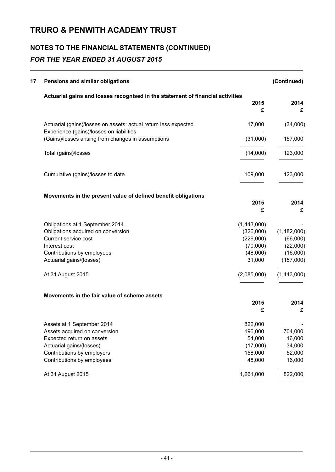# **NOTES TO THE FINANCIAL STATEMENTS (CONTINUED)** *FOR THE YEAR ENDED 31 AUGUST 2015*

| 17 | Pensions and similar obligations                                                               |                    | (Continued)           |
|----|------------------------------------------------------------------------------------------------|--------------------|-----------------------|
|    | Actuarial gains and losses recognised in the statement of financial activities                 | 2015<br>£          | 2014<br>£             |
|    | Actuarial (gains)/losses on assets: actual return less expected                                | 17,000             | (34,000)              |
|    | Experience (gains)/losses on liabilities<br>(Gains)/losses arising from changes in assumptions | (31,000)           | 157,000               |
|    | Total (gains)/losses                                                                           | (14,000)           | 123,000               |
|    | Cumulative (gains)/losses to date                                                              | 109,000            | 123,000               |
|    | Movements in the present value of defined benefit obligations                                  |                    |                       |
|    |                                                                                                | 2015<br>£          | 2014<br>£             |
|    | Obligations at 1 September 2014                                                                | (1,443,000)        |                       |
|    | Obligations acquired on conversion                                                             | (326,000)          | (1, 182, 000)         |
|    | Current service cost                                                                           | (229,000)          | (66,000)              |
|    | Interest cost                                                                                  | (70,000)           | (22,000)              |
|    | Contributions by employees<br>Actuarial gains/(losses)                                         | (48,000)<br>31,000 | (16,000)<br>(157,000) |
|    | At 31 August 2015                                                                              | (2,085,000)        | (1,443,000)           |
|    | Movements in the fair value of scheme assets                                                   |                    |                       |
|    |                                                                                                | 2015<br>£          | 2014<br>£             |
|    | Assets at 1 September 2014                                                                     | 822,000            |                       |
|    | Assets acquired on conversion                                                                  | 196,000            | 704,000               |
|    | Expected return on assets                                                                      | 54,000             | 16,000                |
|    | Actuarial gains/(losses)                                                                       | (17,000)           | 34,000                |
|    | Contributions by employers                                                                     | 158,000            | 52,000                |
|    | Contributions by employees                                                                     | 48,000             | 16,000                |
|    | At 31 August 2015                                                                              | 1,261,000          | 822,000               |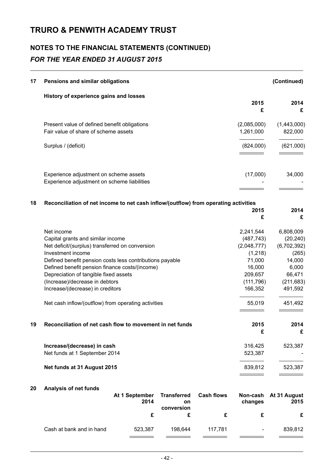# **NOTES TO THE FINANCIAL STATEMENTS (CONTINUED)** *FOR THE YEAR ENDED 31 AUGUST 2015*

| 17 | Pensions and similar obligations                                                                                                                                                                                                                                                                                                                                                                            |                                                                                                                      | (Continued)                                                                                                     |
|----|-------------------------------------------------------------------------------------------------------------------------------------------------------------------------------------------------------------------------------------------------------------------------------------------------------------------------------------------------------------------------------------------------------------|----------------------------------------------------------------------------------------------------------------------|-----------------------------------------------------------------------------------------------------------------|
|    | History of experience gains and losses                                                                                                                                                                                                                                                                                                                                                                      | 2015<br>£                                                                                                            | 2014<br>£                                                                                                       |
|    | Present value of defined benefit obligations<br>Fair value of share of scheme assets                                                                                                                                                                                                                                                                                                                        | (2,085,000)<br>1,261,000                                                                                             | (1,443,000)<br>822,000                                                                                          |
|    | Surplus / (deficit)                                                                                                                                                                                                                                                                                                                                                                                         | (824,000)                                                                                                            | (621,000)                                                                                                       |
|    | Experience adjustment on scheme assets<br>Experience adjustment on scheme liabilities                                                                                                                                                                                                                                                                                                                       | (17,000)                                                                                                             | 34,000                                                                                                          |
| 18 | Reconciliation of net income to net cash inflow/(outflow) from operating activities                                                                                                                                                                                                                                                                                                                         | 2015<br>£                                                                                                            | 2014<br>£                                                                                                       |
|    | Net income<br>Capital grants and similar income<br>Net deficit/(surplus) transferred on conversion<br>Investment income<br>Defined benefit pension costs less contributions payable<br>Defined benefit pension finance costs/(income)<br>Depreciation of tangible fixed assets<br>(Increase)/decrease in debtors<br>Increase/(decrease) in creditors<br>Net cash inflow/(outflow) from operating activities | 2,241,544<br>(487, 743)<br>(2,048,777)<br>(1, 218)<br>71,000<br>16,000<br>209,657<br>(111, 796)<br>166,352<br>55,019 | 6,808,009<br>(20, 240)<br>(6,702,392)<br>(265)<br>14,000<br>6,000<br>66,471<br>(211, 683)<br>491,592<br>451,492 |
| 19 | Reconciliation of net cash flow to movement in net funds                                                                                                                                                                                                                                                                                                                                                    | 2015<br>£                                                                                                            | 2014<br>£                                                                                                       |
|    | Increase/(decrease) in cash<br>Net funds at 1 September 2014                                                                                                                                                                                                                                                                                                                                                | 316,425<br>523,387                                                                                                   | 523,387                                                                                                         |
|    | Net funds at 31 August 2015                                                                                                                                                                                                                                                                                                                                                                                 | 839,812                                                                                                              | 523,387                                                                                                         |

### **20 Analysis of net funds**

|                          | At 1 September<br>2014 | <b>Transferred</b><br>on<br>conversion | <b>Cash flows</b> | changes        | Non-cash At 31 August<br>2015 |
|--------------------------|------------------------|----------------------------------------|-------------------|----------------|-------------------------------|
|                          |                        |                                        |                   |                | £                             |
| Cash at bank and in hand | 523.387                | 198.644                                | 117.781           | $\blacksquare$ | 839.812                       |
|                          |                        |                                        |                   |                |                               |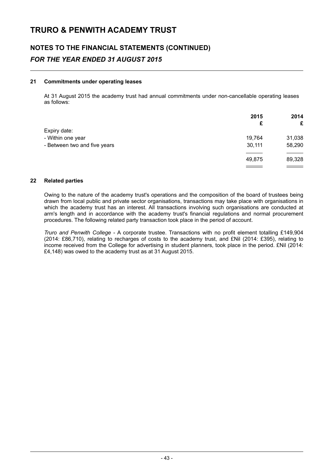# **NOTES TO THE FINANCIAL STATEMENTS (CONTINUED)** *FOR THE YEAR ENDED 31 AUGUST 2015*

### **21 Commitments under operating leases**

At 31 August 2015 the academy trust had annual commitments under non-cancellable operating leases as follows:

|                              | 2015   | 2014   |
|------------------------------|--------|--------|
|                              | £      | £      |
| Expiry date:                 |        |        |
| - Within one year            | 19,764 | 31,038 |
| - Between two and five years | 30,111 | 58,290 |
|                              |        |        |
|                              | 49,875 | 89,328 |
|                              |        |        |

### **22 Related parties**

Owing to the nature of the academy trust's operations and the composition of the board of trustees being drawn from local public and private sector organisations, transactions may take place with organisations in which the academy trust has an interest. All transactions involving such organisations are conducted at arm's length and in accordance with the academy trust's financial regulations and normal procurement procedures. The following related party transaction took place in the period of account.

*Truro and Penwith College* - A corporate trustee. Transactions with no profit element totalling £149,904 (2014: £86,710), relating to recharges of costs to the academy trust, and £Nil (2014: £395), relating to income received from the College for advertising in student planners, took place in the period. £Nil (2014: £4,148) was owed to the academy trust as at 31 August 2015.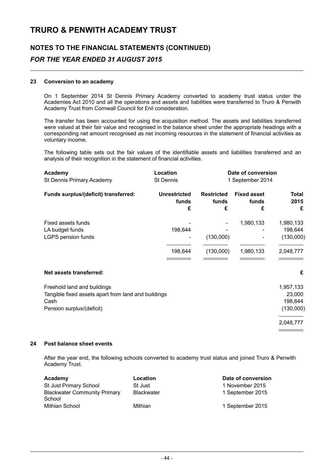# **NOTES TO THE FINANCIAL STATEMENTS (CONTINUED)** *FOR THE YEAR ENDED 31 AUGUST 2015*

### **23 Conversion to an academy**

On 1 September 2014 St Dennis Primary Academy converted to academy trust status under the Academies Act 2010 and all the operations and assets and liabilities were transferred to Truro & Penwith Academy Trust from Cornwall Council for £nil consideration.

The transfer has been accounted for using the acquisition method. The assets and liabilities transferred were valued at their fair value and recognised in the balance sheet under the appropriate headings with a corresponding net amount recognised as net incoming resources in the statement of financial activities as voluntary income.

The following table sets out the fair values of the identifiable assets and liabilities transferred and an analysis of their recognition in the statement of financial activities.

| Academy<br>St Dennis Primary Academy                                                                                    | Location<br><b>St Dennis</b>      | Date of conversion<br>1 September 2014 |                                  |                                                          |  |
|-------------------------------------------------------------------------------------------------------------------------|-----------------------------------|----------------------------------------|----------------------------------|----------------------------------------------------------|--|
| Funds surplus/(deficit) transferred:                                                                                    | <b>Unrestricted</b><br>funds<br>£ | <b>Restricted</b><br>funds<br>£        | <b>Fixed asset</b><br>funds<br>£ | <b>Total</b><br>2015<br>£                                |  |
| Fixed assets funds<br>LA budget funds<br>LGPS pension funds                                                             | 198,644<br>198,644                | (130,000)<br>(130,000)                 | 1,980,133<br>1,980,133           | 1,980,133<br>198,644<br>(130,000)<br>2,048,777           |  |
| Net assets transferred:                                                                                                 |                                   |                                        |                                  | £                                                        |  |
| Freehold land and buildings<br>Tangible fixed assets apart from land and buildings<br>Cash<br>Pension surplus/(deficit) |                                   |                                        |                                  | 1,957,133<br>23,000<br>198,644<br>(130,000)<br>2,048,777 |  |

### **24 Post balance sheet events**

After the year end, the following schools converted to academy trust status and joined Truro & Penwith Academy Trust.

| Academy                                       | Location          | Date of conversion |
|-----------------------------------------------|-------------------|--------------------|
| St Just Primary School                        | <b>St Just</b>    | 1 November 2015    |
| <b>Blackwater Community Primary</b><br>School | <b>Blackwater</b> | 1 September 2015   |
| Mithian School                                | Mithian           | 1 September 2015   |